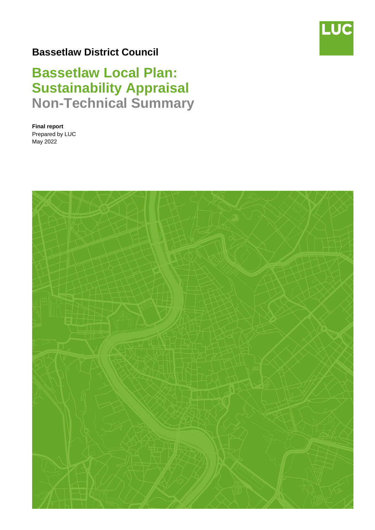

# **Bassetlaw District Council**

# **Bassetlaw Local Plan: Sustainability Appraisal Non-Technical Summary**

**Final report** Prepared by LUC May 2022

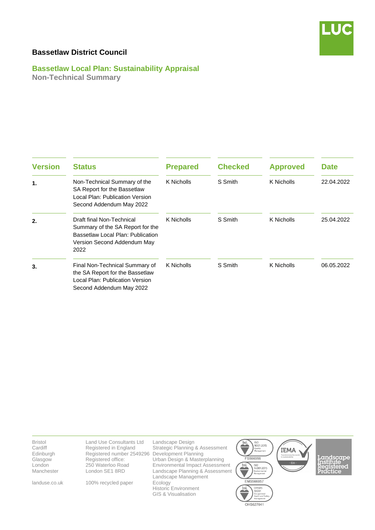

# **Bassetlaw District Council**

**Bassetlaw Local Plan: Sustainability Appraisal Non-Technical Summary**

| <b>Version</b> | <b>Status</b>                                                                                                                             | <b>Prepared</b> | <b>Checked</b> | <b>Approved</b> | <b>Date</b> |
|----------------|-------------------------------------------------------------------------------------------------------------------------------------------|-----------------|----------------|-----------------|-------------|
| $\mathbf 1$ .  | Non-Technical Summary of the<br>SA Report for the Bassetlaw<br>Local Plan: Publication Version<br>Second Addendum May 2022                | K Nicholls      | S Smith        | K Nicholls      | 22.04.2022  |
| 2.             | Draft final Non-Technical<br>Summary of the SA Report for the<br>Bassetlaw Local Plan: Publication<br>Version Second Addendum May<br>2022 | K Nicholls      | S Smith        | K Nicholls      | 25.04.2022  |
| 3.             | Final Non-Technical Summary of<br>the SA Report for the Bassetlaw<br>Local Plan: Publication Version<br>Second Addendum May 2022          | K Nicholls      | S Smith        | K Nicholls      | 06.05.2022  |

| <b>Bristol</b><br>Cardiff<br>Edinburgh<br>Glasgow<br>London<br>Manchester | Land Use Consultants Ltd<br>Registered in England<br>Registered number 2549296<br>Registered office:<br>250 Waterloo Road<br>London SE1 8RD | Landscape Design<br>Strategic Planning & Assessment<br>Development Planning<br>Urban Design & Masterplanning<br><b>Environmental Impact Assessment</b><br>Landscape Planning & Assessment<br>Landscape Management | <b>ISO</b><br>bsi.<br>9001:2015<br>Quality<br>Management<br>FS566056<br>bsi.<br><b>ISO</b><br>14001:2015<br>Environmental<br>Management | <b>IEMA</b><br>Transforming the world<br>to sustainability<br>$- EIA -$ |
|---------------------------------------------------------------------------|---------------------------------------------------------------------------------------------------------------------------------------------|-------------------------------------------------------------------------------------------------------------------------------------------------------------------------------------------------------------------|-----------------------------------------------------------------------------------------------------------------------------------------|-------------------------------------------------------------------------|
| landuse.co.uk                                                             | 100% recycled paper                                                                                                                         | Ecology<br><b>Historic Environment</b><br>GIS & Visualisation                                                                                                                                                     | EMS566057<br>OHSAS<br>bsi.<br>18001<br>Occupational<br>Health and Safety<br>Management<br>OHS627041                                     |                                                                         |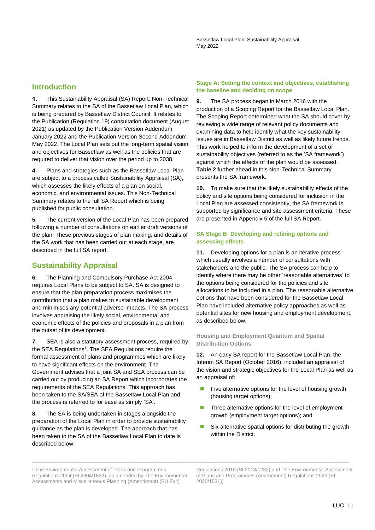Bassetlaw Local Plan: Sustainability Appraisal May 2022

#### **Introduction**

 $\mathbf{1}$ This Sustainability Appraisal (SA) Report: Non-Technical Summary relates to the SA of the Bassetlaw Local Plan, which is being prepared by Bassetlaw District Council. It relates to the Publication (Regulation 19) consultation document (August 2021) as updated by the Publication Version Addendum January 2022 and the Publication Version Second Addendum May 2022. The Local Plan sets out the long-term spatial vision and objectives for Bassetlaw as well as the policies that are required to deliver that vision over the period up to 2038.

**4.** Plans and strategies such as the Bassetlaw Local Plan are subject to a process called Sustainability Appraisal (SA), which assesses the likely effects of a plan on social, economic, and environmental issues. This Non-Technical Summary relates to the full SA Report which is being published for public consultation.

**5.** The current version of the Local Plan has been prepared following a number of consultations on earlier draft versions of the plan. These previous stages of plan making, and details of the SA work that has been carried out at each stage, are described in the full SA report.

#### **Sustainability Appraisal**

**6.** The Planning and Compulsory Purchase Act 2004 requires Local Plans to be subject to SA. SA is designed to ensure that the plan preparation process maximises the contribution that a plan makes to sustainable development and minimises any potential adverse impacts. The SA process involves appraising the likely social, environmental and economic effects of the policies and proposals in a plan from the outset of its development.

**7.** SEA is also a statutory assessment process, required by the SEA Regulations<sup>1</sup>. The SEA Regulations require the formal assessment of plans and programmes which are likely to have significant effects on the environment. The Government advises that a joint SA and SEA process can be carried out by producing an SA Report which incorporates the requirements of the SEA Regulations. This approach has been taken to the SA/SEA of the Bassetlaw Local Plan and the process is referred to for ease as simply 'SA'.

**8.** The SA is being undertaken in stages alongside the preparation of the Local Plan in order to provide sustainability guidance as the plan is developed. The approach that has been taken to the SA of the Bassetlaw Local Plan to date is described below.

#### **Stage A: Setting the context and objectives, establishing the baseline and deciding on scope**

**9.** The SA process began in March 2016 with the production of a Scoping Report for the Bassetlaw Local Plan. The Scoping Report determined what the SA should cover by reviewing a wide range of relevant policy documents and examining data to help identify what the key sustainability issues are in Bassetlaw District as well as likely future trends. This work helped to inform the development of a set of sustainability objectives (referred to as the 'SA framework') against which the effects of the plan would be assessed. **Table 2** further ahead in this Non-Technical Summary presents the SA framework.

**10.** To make sure that the likely sustainability effects of the policy and site options being considered for inclusion in the Local Plan are assessed consistently, the SA framework is supported by significance and site assessment criteria. These are presented in Appendix 5 of the full SA Report.

#### **SA Stage B: Developing and refining options and assessing effects**

**11.** Developing options for a plan is an iterative process which usually involves a number of consultations with stakeholders and the public. The SA process can help to identify where there may be other 'reasonable alternatives' to the options being considered for the policies and site allocations to be included in a plan. The reasonable alternative options that have been considered for the Bassetlaw Local Plan have included alternative policy approaches as well as potential sites for new housing and employment development, as described below.

#### **Housing and Employment Quantum and Spatial Distribution Options**

**12.** An early SA report for the Bassetlaw Local Plan, the Interim SA Report (October 2016), included an appraisal of the vision and strategic objectives for the Local Plan as well as an appraisal of:

- Five alternative options for the level of housing growth (housing target options);
- Three alternative options for the level of employment growth (employment target options); and
- Six alternative spatial options for distributing the growth within the District.

<sup>1</sup> The Environmental Assessment of Plans and Programmes Regulations 2004 (SI 2004/1633), as amended by The Environmental Assessments and Miscellaneous Planning (Amendment) (EU Exit)

\_\_\_\_\_\_\_\_\_\_\_\_\_\_\_\_\_\_\_\_\_\_\_\_\_\_\_\_\_\_\_\_\_\_\_\_\_\_\_\_\_\_\_\_\_\_\_\_\_\_\_\_\_\_\_\_\_\_\_\_\_\_\_\_\_\_\_\_\_\_\_\_\_\_\_\_\_\_\_\_\_\_\_\_\_\_\_\_\_\_\_\_\_\_\_\_\_\_\_\_

Regulations 2018 (SI 2018/1232) and The Environmental Assessment of Plans and Programmes (Amendment) Regulations 2020 (SI 2020/1531)).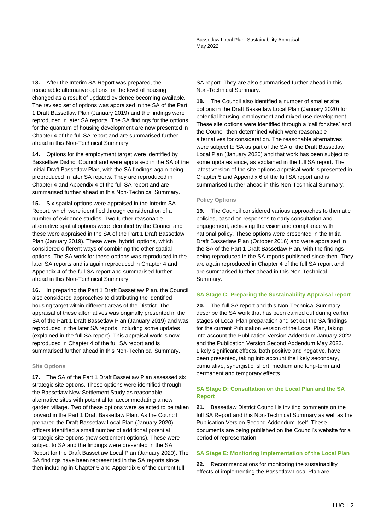**13.** After the Interim SA Report was prepared, the reasonable alternative options for the level of housing changed as a result of updated evidence becoming available. The revised set of options was appraised in the SA of the Part 1 Draft Bassetlaw Plan (January 2019) and the findings were reproduced in later SA reports. The SA findings for the options for the quantum of housing development are now presented in Chapter 4 of the full SA report and are summarised further ahead in this Non-Technical Summary.

**14.** Options for the employment target were identified by Bassetlaw District Council and were appraised in the SA of the Initial Draft Bassetlaw Plan, with the SA findings again being preproduced in later SA reports. They are reproduced in Chapter 4 and Appendix 4 of the full SA report and are summarised further ahead in this Non-Technical Summary.

**15.** Six spatial options were appraised in the Interim SA Report, which were identified through consideration of a number of evidence studies. Two further reasonable alternative spatial options were identified by the Council and these were appraised in the SA of the Part 1 Draft Bassetlaw Plan (January 2019). These were 'hybrid' options, which considered different ways of combining the other spatial options. The SA work for these options was reproduced in the later SA reports and is again reproduced in Chapter 4 and Appendix 4 of the full SA report and summarised further ahead in this Non-Technical Summary.

**16.** In preparing the Part 1 Draft Bassetlaw Plan, the Council also considered approaches to distributing the identified housing target within different areas of the District. The appraisal of these alternatives was originally presented in the SA of the Part 1 Draft Bassetlaw Plan (January 2019) and was reproduced in the later SA reports, including some updates (explained in the full SA report). This appraisal work is now reproduced in Chapter 4 of the full SA report and is summarised further ahead in this Non-Technical Summary.

#### **Site Options**

**17.** The SA of the Part 1 Draft Bassetlaw Plan assessed six strategic site options. These options were identified through the Bassetlaw New Settlement Study as reasonable alternative sites with potential for accommodating a new garden village. Two of these options were selected to be taken forward in the Part 1 Draft Bassetlaw Plan. As the Council prepared the Draft Bassetlaw Local Plan (January 2020), officers identified a small number of additional potential strategic site options (new settlement options). These were subject to SA and the findings were presented in the SA Report for the Draft Bassetlaw Local Plan (January 2020). The SA findings have been represented in the SA reports since then including in Chapter 5 and Appendix 6 of the current full

SA report. They are also summarised further ahead in this Non-Technical Summary.

**18.** The Council also identified a number of smaller site options in the Draft Bassetlaw Local Plan (January 2020) for potential housing, employment and mixed-use development. These site options were identified through a 'call for sites' and the Council then determined which were reasonable alternatives for consideration. The reasonable alternatives were subject to SA as part of the SA of the Draft Bassetlaw Local Plan (January 2020) and that work has been subject to some updates since, as explained in the full SA report. The latest version of the site options appraisal work is presented in Chapter 5 and Appendix 6 of the full SA report and is summarised further ahead in this Non-Technical Summary.

#### **Policy Options**

**19.** The Council considered various approaches to thematic policies, based on responses to early consultation and engagement, achieving the vision and compliance with national policy. These options were presented in the Initial Draft Bassetlaw Plan (October 2016) and were appraised in the SA of the Part 1 Draft Bassetlaw Plan, with the findings being reproduced in the SA reports published since then. They are again reproduced in Chapter 4 of the full SA report and are summarised further ahead in this Non-Technical Summary.

#### **SA Stage C: Preparing the Sustainability Appraisal report**

**20.** The full SA report and this Non-Technical Summary describe the SA work that has been carried out during earlier stages of Local Plan preparation and set out the SA findings for the current Publication version of the Local Plan, taking into account the Publication Version Addendum January 2022 and the Publication Version Second Addendum May 2022. Likely significant effects, both positive and negative, have been presented, taking into account the likely secondary, cumulative, synergistic, short, medium and long-term and permanent and temporary effects.

#### **SA Stage D: Consultation on the Local Plan and the SA Report**

**21.** Bassetlaw District Council is inviting comments on the full SA Report and this Non-Technical Summary as well as the Publication Version Second Addendum itself. These documents are being published on the Council's website for a period of representation.

#### **SA Stage E: Monitoring implementation of the Local Plan**

**22.** Recommendations for monitoring the sustainability effects of implementing the Bassetlaw Local Plan are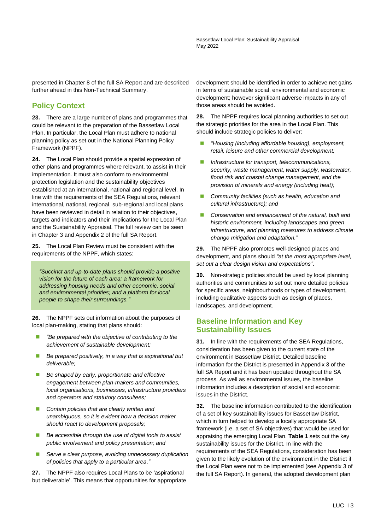presented in Chapter 8 of the full SA Report and are described further ahead in this Non-Technical Summary.

# **Policy Context**

**23.** There are a large number of plans and programmes that could be relevant to the preparation of the Bassetlaw Local Plan. In particular, the Local Plan must adhere to national planning policy as set out in the National Planning Policy Framework (NPPF).

**24.** The Local Plan should provide a spatial expression of other plans and programmes where relevant, to assist in their implementation. It must also conform to environmental protection legislation and the sustainability objectives established at an international, national and regional level. In line with the requirements of the SEA Regulations, relevant international, national, regional, sub-regional and local plans have been reviewed in detail in relation to their objectives, targets and indicators and their implications for the Local Plan and the Sustainability Appraisal. The full review can be seen in Chapter 3 and Appendix 2 of the full SA Report.

**25.** The Local Plan Review must be consistent with the requirements of the NPPF, which states:

*"Succinct and up-to-date plans should provide a positive vision for the future of each area; a framework for addressing housing needs and other economic, social and environmental priorities; and a platform for local people to shape their surroundings."*

**26.** The NPPF sets out information about the purposes of local plan-making, stating that plans should:

- ◼ *"Be prepared with the objective of contributing to the achievement of sustainable development;*
- Be prepared positively, in a way that is aspirational but *deliverable;*
- Be shaped by early, proportionate and effective *engagement between plan-makers and communities, local organisations, businesses, infrastructure providers and operators and statutory consultees;*
- Contain policies that are clearly written and *unambiguous, so it is evident how a decision maker should react to development proposals;*
- Be accessible through the use of digital tools to assist *public involvement and policy presentation; and*
- Serve a clear purpose, avoiding unnecessary duplication *of policies that apply to a particular area."*

**27.** The NPPF also requires Local Plans to be 'aspirational but deliverable'. This means that opportunities for appropriate development should be identified in order to achieve net gains in terms of sustainable social, environmental and economic development; however significant adverse impacts in any of those areas should be avoided.

**28.** The NPPF requires local planning authorities to set out the strategic priorities for the area in the Local Plan. This should include strategic policies to deliver:

- ◼ *"Housing (including affordable housing), employment, retail, leisure and other commercial development;*
- ◼ *Infrastructure for transport, telecommunications, security, waste management, water supply, wastewater, flood risk and coastal change management, and the provision of minerals and energy (including heat);*
- ◼ *Community facilities (such as health, education and cultural infrastructure); and*
- Conservation and enhancement of the natural, built and *historic environment, including landscapes and green infrastructure, and planning measures to address climate change mitigation and adaptation."*

**29.** The NPPF also promotes well-designed places and development, and plans should *"at the most appropriate level, set out a clear design vision and expectations"*.

**30.** Non-strategic policies should be used by local planning authorities and communities to set out more detailed policies for specific areas, neighbourhoods or types of development, including qualitative aspects such as design of places, landscapes, and development.

## **Baseline Information and Key Sustainability Issues**

**31.** In line with the requirements of the SEA Regulations, consideration has been given to the current state of the environment in Bassetlaw District. Detailed baseline information for the District is presented in Appendix 3 of the full SA Report and it has been updated throughout the SA process. As well as environmental issues, the baseline information includes a description of social and economic issues in the District.

**32.** The baseline information contributed to the identification of a set of key sustainability issues for Bassetlaw District, which in turn helped to develop a locally appropriate SA framework (i.e. a set of SA objectives) that would be used for appraising the emerging Local Plan. **Table 1** sets out the key sustainability issues for the District. In line with the requirements of the SEA Regulations, consideration has been given to the likely evolution of the environment in the District if the Local Plan were not to be implemented (see Appendix 3 of the full SA Report). In general, the adopted development plan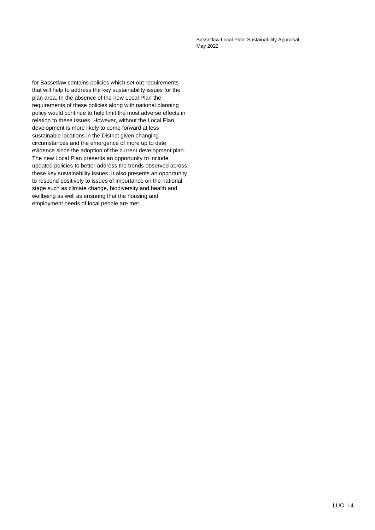Bassetlaw Local Plan: Sustainability Appraisal May 2022

for Bassetlaw contains policies which set out requirements that will help to address the key sustainability issues for the plan area. In the absence of the new Local Plan the requirements of these policies along with national planning policy would continue to help limit the most adverse effects in relation to these issues. However, without the Local Plan development is more likely to come forward at less sustainable locations in the District given changing circumstances and the emergence of more up to date evidence since the adoption of the current development plan. The new Local Plan presents an opportunity to include updated policies to better address the trends observed across these key sustainability issues. It also presents an opportunity to respond positively to issues of importance on the national stage such as climate change, biodiversity and health and wellbeing as well as ensuring that the housing and employment needs of local people are met.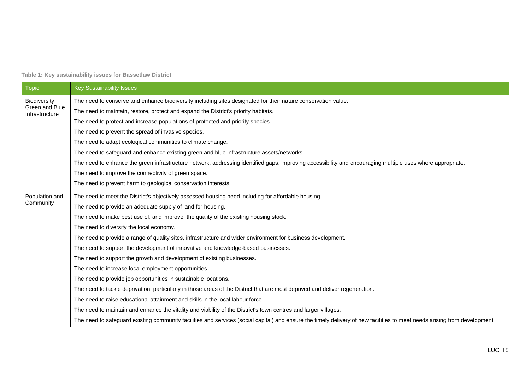**Table 1: Key sustainability issues for Bassetlaw District**

| Topic                            | <b>Key Sustainability Issues</b>                                                                                                                                           |  |  |  |  |  |
|----------------------------------|----------------------------------------------------------------------------------------------------------------------------------------------------------------------------|--|--|--|--|--|
| Biodiversity,                    | The need to conserve and enhance biodiversity including sites designated for their nature conservation value.                                                              |  |  |  |  |  |
| Green and Blue<br>Infrastructure | The need to maintain, restore, protect and expand the District's priority habitats.                                                                                        |  |  |  |  |  |
|                                  | The need to protect and increase populations of protected and priority species.                                                                                            |  |  |  |  |  |
|                                  | The need to prevent the spread of invasive species.                                                                                                                        |  |  |  |  |  |
|                                  | The need to adapt ecological communities to climate change.                                                                                                                |  |  |  |  |  |
|                                  | The need to safeguard and enhance existing green and blue infrastructure assets/networks.                                                                                  |  |  |  |  |  |
|                                  | The need to enhance the green infrastructure network, addressing identified gaps, improving accessibility and encouraging multiple uses where appropriate.                 |  |  |  |  |  |
|                                  | The need to improve the connectivity of green space.                                                                                                                       |  |  |  |  |  |
|                                  | The need to prevent harm to geological conservation interests.                                                                                                             |  |  |  |  |  |
| Population and                   | The need to meet the District's objectively assessed housing need including for affordable housing.                                                                        |  |  |  |  |  |
| Community                        | The need to provide an adequate supply of land for housing.                                                                                                                |  |  |  |  |  |
|                                  | The need to make best use of, and improve, the quality of the existing housing stock.                                                                                      |  |  |  |  |  |
|                                  | The need to diversify the local economy.                                                                                                                                   |  |  |  |  |  |
|                                  | The need to provide a range of quality sites, infrastructure and wider environment for business development.                                                               |  |  |  |  |  |
|                                  | The need to support the development of innovative and knowledge-based businesses.                                                                                          |  |  |  |  |  |
|                                  | The need to support the growth and development of existing businesses.                                                                                                     |  |  |  |  |  |
|                                  | The need to increase local employment opportunities.                                                                                                                       |  |  |  |  |  |
|                                  | The need to provide job opportunities in sustainable locations.                                                                                                            |  |  |  |  |  |
|                                  | The need to tackle deprivation, particularly in those areas of the District that are most deprived and deliver regeneration.                                               |  |  |  |  |  |
|                                  | The need to raise educational attainment and skills in the local labour force.                                                                                             |  |  |  |  |  |
|                                  | The need to maintain and enhance the vitality and viability of the District's town centres and larger villages.                                                            |  |  |  |  |  |
|                                  | The need to safeguard existing community facilities and services (social capital) and ensure the timely delivery of new facilities to meet needs arising from development. |  |  |  |  |  |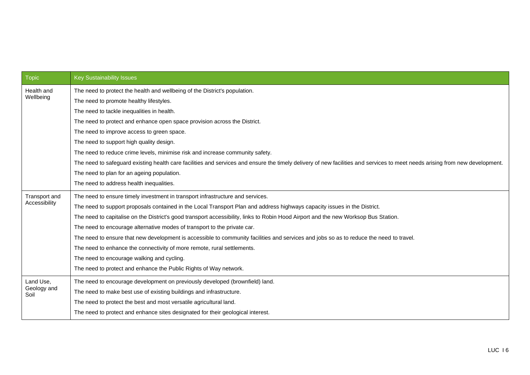| <b>Topic</b>        | <b>Key Sustainability Issues</b>                                                                                                                                             |  |  |  |  |
|---------------------|------------------------------------------------------------------------------------------------------------------------------------------------------------------------------|--|--|--|--|
| Health and          | The need to protect the health and wellbeing of the District's population.                                                                                                   |  |  |  |  |
| Wellbeing           | The need to promote healthy lifestyles.                                                                                                                                      |  |  |  |  |
|                     | The need to tackle inequalities in health.                                                                                                                                   |  |  |  |  |
|                     | The need to protect and enhance open space provision across the District.                                                                                                    |  |  |  |  |
|                     | The need to improve access to green space.                                                                                                                                   |  |  |  |  |
|                     | The need to support high quality design.                                                                                                                                     |  |  |  |  |
|                     | The need to reduce crime levels, minimise risk and increase community safety.                                                                                                |  |  |  |  |
|                     | The need to safeguard existing health care facilities and services and ensure the timely delivery of new facilities and services to meet needs arising from new development. |  |  |  |  |
|                     | The need to plan for an ageing population.                                                                                                                                   |  |  |  |  |
|                     | The need to address health inequalities.                                                                                                                                     |  |  |  |  |
| Transport and       | The need to ensure timely investment in transport infrastructure and services.                                                                                               |  |  |  |  |
| Accessibility       | The need to support proposals contained in the Local Transport Plan and address highways capacity issues in the District.                                                    |  |  |  |  |
|                     | The need to capitalise on the District's good transport accessibility, links to Robin Hood Airport and the new Worksop Bus Station.                                          |  |  |  |  |
|                     | The need to encourage alternative modes of transport to the private car.                                                                                                     |  |  |  |  |
|                     | The need to ensure that new development is accessible to community facilities and services and jobs so as to reduce the need to travel.                                      |  |  |  |  |
|                     | The need to enhance the connectivity of more remote, rural settlements.                                                                                                      |  |  |  |  |
|                     | The need to encourage walking and cycling.                                                                                                                                   |  |  |  |  |
|                     | The need to protect and enhance the Public Rights of Way network.                                                                                                            |  |  |  |  |
| Land Use,           | The need to encourage development on previously developed (brownfield) land.                                                                                                 |  |  |  |  |
| Geology and<br>Soil | The need to make best use of existing buildings and infrastructure.                                                                                                          |  |  |  |  |
|                     | The need to protect the best and most versatile agricultural land.                                                                                                           |  |  |  |  |
|                     | The need to protect and enhance sites designated for their geological interest.                                                                                              |  |  |  |  |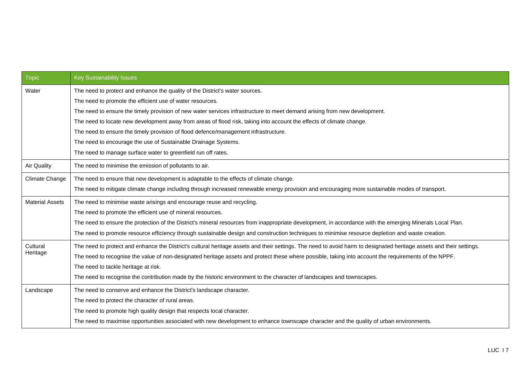| <b>Topic</b>           | <b>Key Sustainability Issues</b>                                                                                                                                     |  |  |  |  |  |
|------------------------|----------------------------------------------------------------------------------------------------------------------------------------------------------------------|--|--|--|--|--|
| Water                  | The need to protect and enhance the quality of the District's water sources.                                                                                         |  |  |  |  |  |
|                        | The need to promote the efficient use of water resources.                                                                                                            |  |  |  |  |  |
|                        | The need to ensure the timely provision of new water services infrastructure to meet demand arising from new development.                                            |  |  |  |  |  |
|                        | The need to locate new development away from areas of flood risk, taking into account the effects of climate change.                                                 |  |  |  |  |  |
|                        | The need to ensure the timely provision of flood defence/management infrastructure.                                                                                  |  |  |  |  |  |
|                        | The need to encourage the use of Sustainable Drainage Systems.                                                                                                       |  |  |  |  |  |
|                        | The need to manage surface water to greenfield run off rates.                                                                                                        |  |  |  |  |  |
| <b>Air Quality</b>     | The need to minimise the emission of pollutants to air.                                                                                                              |  |  |  |  |  |
| Climate Change         | The need to ensure that new development is adaptable to the effects of climate change.                                                                               |  |  |  |  |  |
|                        | The need to mitigate climate change including through increased renewable energy provision and encouraging more sustainable modes of transport.                      |  |  |  |  |  |
| <b>Material Assets</b> | The need to minimise waste arisings and encourage reuse and recycling.                                                                                               |  |  |  |  |  |
|                        | The need to promote the efficient use of mineral resources.                                                                                                          |  |  |  |  |  |
|                        | The need to ensure the protection of the District's mineral resources from inappropriate development, in accordance with the emerging Minerals Local Plan.           |  |  |  |  |  |
|                        | The need to promote resource efficiency through sustainable design and construction techniques to minimise resource depletion and waste creation.                    |  |  |  |  |  |
| Cultural               | The need to protect and enhance the District's cultural heritage assets and their settings. The need to avoid harm to designated heritage assets and their settings. |  |  |  |  |  |
| Heritage               | The need to recognise the value of non-designated heritage assets and protect these where possible, taking into account the requirements of the NPPF.                |  |  |  |  |  |
|                        | The need to tackle heritage at risk.                                                                                                                                 |  |  |  |  |  |
|                        | The need to recognise the contribution made by the historic environment to the character of landscapes and townscapes.                                               |  |  |  |  |  |
| Landscape              | The need to conserve and enhance the District's landscape character.                                                                                                 |  |  |  |  |  |
|                        | The need to protect the character of rural areas.                                                                                                                    |  |  |  |  |  |
|                        | The need to promote high quality design that respects local character.                                                                                               |  |  |  |  |  |
|                        | The need to maximise opportunities associated with new development to enhance townscape character and the quality of urban environments.                             |  |  |  |  |  |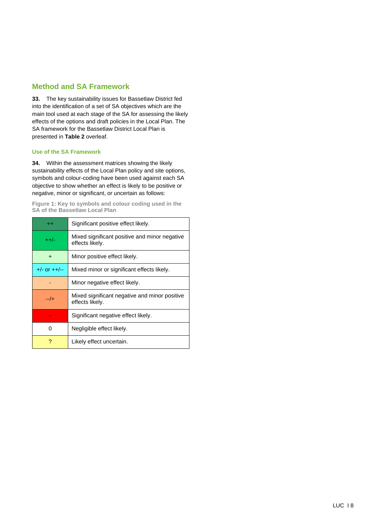## **Method and SA Framework**

**33.** The key sustainability issues for Bassetlaw District fed into the identification of a set of SA objectives which are the main tool used at each stage of the SA for assessing the likely effects of the options and draft policies in the Local Plan. The SA framework for the Bassetlaw District Local Plan is presented in **Table 2** overleaf.

#### **Use of the SA Framework**

**34.** Within the assessment matrices showing the likely sustainability effects of the Local Plan policy and site options, symbols and colour-coding have been used against each SA objective to show whether an effect is likely to be positive or negative, minor or significant, or uncertain as follows:

**Figure 1: Key to symbols and colour coding used in the SA of the Bassetlaw Local Plan**

| $^{++}$         | Significant positive effect likely.                              |
|-----------------|------------------------------------------------------------------|
| $+ +/-$         | Mixed significant positive and minor negative<br>effects likely. |
| $\div$          | Minor positive effect likely.                                    |
| $+/-$ or $++/-$ | Mixed minor or significant effects likely.                       |
|                 | Minor negative effect likely.                                    |
| --/+            | Mixed significant negative and minor positive<br>effects likely. |
|                 | Significant negative effect likely.                              |
| O               | Negligible effect likely.                                        |
|                 | Likely effect uncertain.                                         |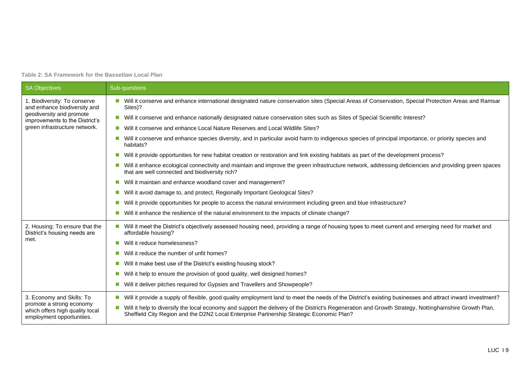**Table 2: SA Framework for the Bassetlaw Local Plan**

| <b>SA Objectives</b>                                                                     | Sub-questions                                                                                                                                                                                                                                           |  |  |  |  |
|------------------------------------------------------------------------------------------|---------------------------------------------------------------------------------------------------------------------------------------------------------------------------------------------------------------------------------------------------------|--|--|--|--|
| 1. Biodiversity: To conserve<br>and enhance biodiversity and                             | Will it conserve and enhance international designated nature conservation sites (Special Areas of Conservation, Special Protection Areas and Ramsar<br>Sites)?                                                                                          |  |  |  |  |
| geodiversity and promote<br>improvements to the District's                               | Will it conserve and enhance nationally designated nature conservation sites such as Sites of Special Scientific Interest?                                                                                                                              |  |  |  |  |
| green infrastructure network.                                                            | Will it conserve and enhance Local Nature Reserves and Local Wildlife Sites?                                                                                                                                                                            |  |  |  |  |
|                                                                                          | Will it conserve and enhance species diversity, and in particular avoid harm to indigenous species of principal importance, or priority species and<br>habitats?                                                                                        |  |  |  |  |
|                                                                                          | Will it provide opportunities for new habitat creation or restoration and link existing habitats as part of the development process?                                                                                                                    |  |  |  |  |
|                                                                                          | Will it enhance ecological connectivity and maintain and improve the green infrastructure network, addressing deficiencies and providing green spaces<br>that are well connected and biodiversity rich?                                                 |  |  |  |  |
|                                                                                          | Will it maintain and enhance woodland cover and management?                                                                                                                                                                                             |  |  |  |  |
|                                                                                          | Will it avoid damage to, and protect, Regionally Important Geological Sites?                                                                                                                                                                            |  |  |  |  |
|                                                                                          | Will it provide opportunities for people to access the natural environment including green and blue infrastructure?                                                                                                                                     |  |  |  |  |
|                                                                                          | Will it enhance the resilience of the natural environment to the impacts of climate change?                                                                                                                                                             |  |  |  |  |
| 2. Housing: To ensure that the<br>District's housing needs are                           | Will it meet the District's objectively assessed housing need, providing a range of housing types to meet current and emerging need for market and<br>affordable housing?                                                                               |  |  |  |  |
| met.                                                                                     | Will it reduce homelessness?<br>ш                                                                                                                                                                                                                       |  |  |  |  |
|                                                                                          | Will it reduce the number of unfit homes?                                                                                                                                                                                                               |  |  |  |  |
|                                                                                          | Will it make best use of the District's existing housing stock?                                                                                                                                                                                         |  |  |  |  |
|                                                                                          | Will it help to ensure the provision of good quality, well designed homes?                                                                                                                                                                              |  |  |  |  |
|                                                                                          | Will it deliver pitches required for Gypsies and Travellers and Showpeople?                                                                                                                                                                             |  |  |  |  |
| 3. Economy and Skills: To                                                                | Will it provide a supply of flexible, good quality employment land to meet the needs of the District's existing businesses and attract inward investment?                                                                                               |  |  |  |  |
| promote a strong economy<br>which offers high quality local<br>employment opportunities. | Will it help to diversify the local economy and support the delivery of the District's Regeneration and Growth Strategy, Nottinghamshire Growth Plan,<br>n.<br>Sheffield City Region and the D2N2 Local Enterprise Partnership Strategic Economic Plan? |  |  |  |  |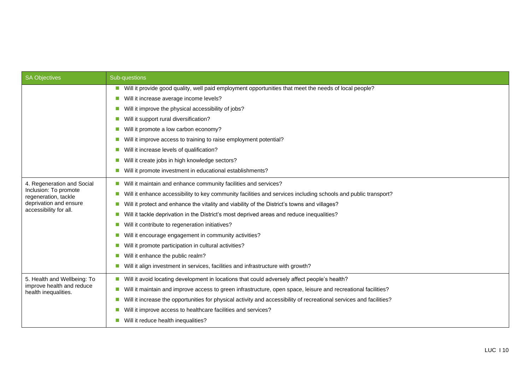| <b>SA Objectives</b>                              | Sub-questions                                                                                                                                      |  |  |  |  |
|---------------------------------------------------|----------------------------------------------------------------------------------------------------------------------------------------------------|--|--|--|--|
|                                                   | ■ Will it provide good quality, well paid employment opportunities that meet the needs of local people?                                            |  |  |  |  |
|                                                   | Will it increase average income levels?<br>$\mathcal{L}^{\mathcal{A}}$                                                                             |  |  |  |  |
|                                                   | Will it improve the physical accessibility of jobs?<br>$\mathcal{C}_{\mathcal{A}}$                                                                 |  |  |  |  |
|                                                   | Will it support rural diversification?<br>$\mathcal{L}_{\mathcal{A}}$                                                                              |  |  |  |  |
|                                                   | Will it promote a low carbon economy?                                                                                                              |  |  |  |  |
|                                                   | Will it improve access to training to raise employment potential?<br>ш                                                                             |  |  |  |  |
|                                                   | Will it increase levels of qualification?<br>ш                                                                                                     |  |  |  |  |
|                                                   | Will it create jobs in high knowledge sectors?<br>$\mathcal{L}_{\mathcal{A}}$                                                                      |  |  |  |  |
|                                                   | Will it promote investment in educational establishments?<br>$\sim$                                                                                |  |  |  |  |
| 4. Regeneration and Social                        | Will it maintain and enhance community facilities and services?<br>$\mathcal{C}^{\mathcal{A}}$                                                     |  |  |  |  |
| Inclusion: To promote<br>regeneration, tackle     | Will it enhance accessibility to key community facilities and services including schools and public transport?<br><b>COL</b>                       |  |  |  |  |
| deprivation and ensure                            | Will it protect and enhance the vitality and viability of the District's towns and villages?<br>$\mathcal{L}_{\mathcal{A}}$                        |  |  |  |  |
| accessibility for all.                            | Will it tackle deprivation in the District's most deprived areas and reduce inequalities?<br>$\sim$                                                |  |  |  |  |
|                                                   | Will it contribute to regeneration initiatives?<br>$\sim$                                                                                          |  |  |  |  |
|                                                   | Will it encourage engagement in community activities?                                                                                              |  |  |  |  |
|                                                   | Will it promote participation in cultural activities?                                                                                              |  |  |  |  |
|                                                   | Will it enhance the public realm?                                                                                                                  |  |  |  |  |
|                                                   | Will it align investment in services, facilities and infrastructure with growth?<br>$\sim$                                                         |  |  |  |  |
| 5. Health and Wellbeing: To                       | ■ Will it avoid locating development in locations that could adversely affect people's health?                                                     |  |  |  |  |
| improve health and reduce<br>health inequalities. | Will it maintain and improve access to green infrastructure, open space, leisure and recreational facilities?<br>$\Box$                            |  |  |  |  |
|                                                   | Will it increase the opportunities for physical activity and accessibility of recreational services and facilities?<br>$\mathcal{C}_{\mathcal{A}}$ |  |  |  |  |
|                                                   | Will it improve access to healthcare facilities and services?<br>$\mathcal{L}_{\mathcal{A}}$                                                       |  |  |  |  |
|                                                   | Will it reduce health inequalities?                                                                                                                |  |  |  |  |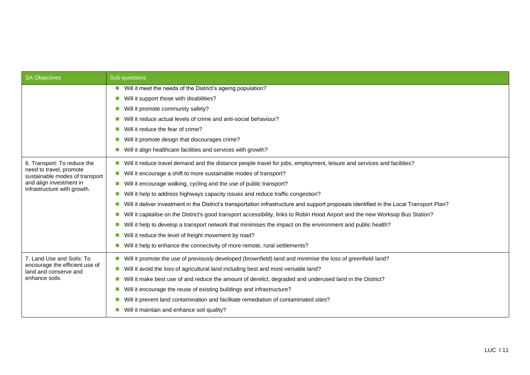| <b>SA Objectives</b>                                      | Sub-questions                                                                                                                                 |  |  |  |  |  |
|-----------------------------------------------------------|-----------------------------------------------------------------------------------------------------------------------------------------------|--|--|--|--|--|
|                                                           | Will it meet the needs of the District's ageing population?                                                                                   |  |  |  |  |  |
|                                                           | Will it support those with disabilities?                                                                                                      |  |  |  |  |  |
|                                                           | Will it promote community safety?<br>п                                                                                                        |  |  |  |  |  |
|                                                           | Will it reduce actual levels of crime and anti-social behaviour?                                                                              |  |  |  |  |  |
|                                                           | Will it reduce the fear of crime?                                                                                                             |  |  |  |  |  |
|                                                           | Will it promote design that discourages crime?<br>п                                                                                           |  |  |  |  |  |
|                                                           | Will it align healthcare facilities and services with growth?                                                                                 |  |  |  |  |  |
| 6. Transport: To reduce the                               | Will it reduce travel demand and the distance people travel for jobs, employment, leisure and services and facilities?                        |  |  |  |  |  |
| need to travel, promote<br>sustainable modes of transport | Will it encourage a shift to more sustainable modes of transport?                                                                             |  |  |  |  |  |
| and align investment in                                   | Will it encourage walking, cycling and the use of public transport?                                                                           |  |  |  |  |  |
| infrastructure with growth.                               | Will it help to address highways capacity issues and reduce traffic congestion?<br>m.                                                         |  |  |  |  |  |
|                                                           | Will it deliver investment in the District's transportation infrastructure and support proposals identified in the Local Transport Plan?<br>п |  |  |  |  |  |
|                                                           | Will it capitalise on the District's good transport accessibility, links to Robin Hood Airport and the new Worksop Bus Station?               |  |  |  |  |  |
|                                                           | Will it help to develop a transport network that minimises the impact on the environment and public health?<br>п                              |  |  |  |  |  |
|                                                           | Will it reduce the level of freight movement by road?                                                                                         |  |  |  |  |  |
|                                                           | Will it help to enhance the connectivity of more remote, rural settlements?                                                                   |  |  |  |  |  |
| 7. Land Use and Soils: To                                 | Will it promote the use of previously developed (brownfield) land and minimise the loss of greenfield land?                                   |  |  |  |  |  |
| encourage the efficient use of<br>land and conserve and   | Will it avoid the loss of agricultural land including best and most versatile land?<br>п                                                      |  |  |  |  |  |
| enhance soils.                                            | Will it make best use of and reduce the amount of derelict, degraded and underused land in the District?<br>п                                 |  |  |  |  |  |
|                                                           | Will it encourage the reuse of existing buildings and infrastructure?<br>×.                                                                   |  |  |  |  |  |
|                                                           | Will it prevent land contamination and facilitate remediation of contaminated sites?                                                          |  |  |  |  |  |
|                                                           | Will it maintain and enhance soil quality?                                                                                                    |  |  |  |  |  |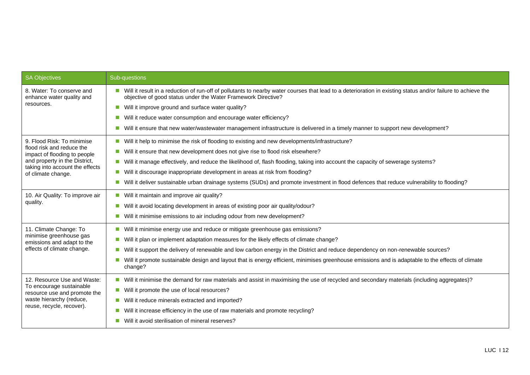| <b>SA Objectives</b>                                             | Sub-questions                                                                                                                                                                                                                 |  |  |  |  |
|------------------------------------------------------------------|-------------------------------------------------------------------------------------------------------------------------------------------------------------------------------------------------------------------------------|--|--|--|--|
| 8. Water: To conserve and<br>enhance water quality and           | Will it result in a reduction of run-off of pollutants to nearby water courses that lead to a deterioration in existing status and/or failure to achieve the<br>objective of good status under the Water Framework Directive? |  |  |  |  |
| resources.                                                       | Will it improve ground and surface water quality?<br>ш                                                                                                                                                                        |  |  |  |  |
|                                                                  | Will it reduce water consumption and encourage water efficiency?<br>a a                                                                                                                                                       |  |  |  |  |
|                                                                  | Will it ensure that new water/wastewater management infrastructure is delivered in a timely manner to support new development?                                                                                                |  |  |  |  |
| 9. Flood Risk: To minimise                                       | Will it help to minimise the risk of flooding to existing and new developments/infrastructure?                                                                                                                                |  |  |  |  |
| flood risk and reduce the<br>impact of flooding to people        | Will it ensure that new development does not give rise to flood risk elsewhere?                                                                                                                                               |  |  |  |  |
| and property in the District,<br>taking into account the effects | Will it manage effectively, and reduce the likelihood of, flash flooding, taking into account the capacity of sewerage systems?                                                                                               |  |  |  |  |
| of climate change.                                               | Will it discourage inappropriate development in areas at risk from flooding?<br>$\mathcal{C}^{\mathcal{A}}$                                                                                                                   |  |  |  |  |
|                                                                  | Will it deliver sustainable urban drainage systems (SUDs) and promote investment in flood defences that reduce vulnerability to flooding?                                                                                     |  |  |  |  |
| 10. Air Quality: To improve air                                  | Will it maintain and improve air quality?                                                                                                                                                                                     |  |  |  |  |
| quality.                                                         | Will it avoid locating development in areas of existing poor air quality/odour?<br><b>COL</b>                                                                                                                                 |  |  |  |  |
|                                                                  | Will it minimise emissions to air including odour from new development?                                                                                                                                                       |  |  |  |  |
| 11. Climate Change: To                                           | ■ Will it minimise energy use and reduce or mitigate greenhouse gas emissions?                                                                                                                                                |  |  |  |  |
| minimise greenhouse gas<br>emissions and adapt to the            | Will it plan or implement adaptation measures for the likely effects of climate change?<br>$\mathcal{L}^{\mathcal{L}}$                                                                                                        |  |  |  |  |
| effects of climate change.                                       | Will it support the delivery of renewable and low carbon energy in the District and reduce dependency on non-renewable sources?                                                                                               |  |  |  |  |
|                                                                  | Will it promote sustainable design and layout that is energy efficient, minimises greenhouse emissions and is adaptable to the effects of climate<br>change?                                                                  |  |  |  |  |
| 12. Resource Use and Waste:                                      | Will it minimise the demand for raw materials and assist in maximising the use of recycled and secondary materials (including aggregates)?<br><b>COL</b>                                                                      |  |  |  |  |
| To encourage sustainable<br>resource use and promote the         | Will it promote the use of local resources?<br><b>COL</b>                                                                                                                                                                     |  |  |  |  |
| waste hierarchy (reduce,                                         | Will it reduce minerals extracted and imported?<br><b>COL</b>                                                                                                                                                                 |  |  |  |  |
| reuse, recycle, recover).                                        | Will it increase efficiency in the use of raw materials and promote recycling?                                                                                                                                                |  |  |  |  |
|                                                                  | Will it avoid sterilisation of mineral reserves?                                                                                                                                                                              |  |  |  |  |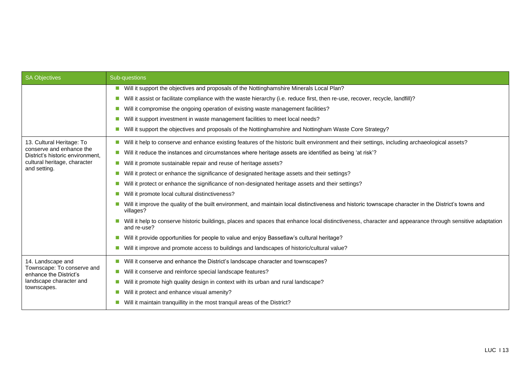| SA Objectives                                                | Sub-questions                                                                                                                                                           |  |  |  |  |  |  |
|--------------------------------------------------------------|-------------------------------------------------------------------------------------------------------------------------------------------------------------------------|--|--|--|--|--|--|
|                                                              | Will it support the objectives and proposals of the Nottinghamshire Minerals Local Plan?                                                                                |  |  |  |  |  |  |
|                                                              | Will it assist or facilitate compliance with the waste hierarchy (i.e. reduce first, then re-use, recover, recycle, landfill)?                                          |  |  |  |  |  |  |
|                                                              | Will it compromise the ongoing operation of existing waste management facilities?<br>a a                                                                                |  |  |  |  |  |  |
|                                                              | Will it support investment in waste management facilities to meet local needs?                                                                                          |  |  |  |  |  |  |
|                                                              | Will it support the objectives and proposals of the Nottinghamshire and Nottingham Waste Core Strategy?                                                                 |  |  |  |  |  |  |
| 13. Cultural Heritage: To                                    | Will it help to conserve and enhance existing features of the historic built environment and their settings, including archaeological assets?                           |  |  |  |  |  |  |
| conserve and enhance the<br>District's historic environment, | Will it reduce the instances and circumstances where heritage assets are identified as being 'at risk'?                                                                 |  |  |  |  |  |  |
| cultural heritage, character                                 | Will it promote sustainable repair and reuse of heritage assets?                                                                                                        |  |  |  |  |  |  |
| and setting.                                                 | Will it protect or enhance the significance of designated heritage assets and their settings?                                                                           |  |  |  |  |  |  |
|                                                              | Will it protect or enhance the significance of non-designated heritage assets and their settings?                                                                       |  |  |  |  |  |  |
|                                                              | Will it promote local cultural distinctiveness?                                                                                                                         |  |  |  |  |  |  |
|                                                              | Will it improve the quality of the built environment, and maintain local distinctiveness and historic townscape character in the District's towns and<br>villages?      |  |  |  |  |  |  |
|                                                              | Will it help to conserve historic buildings, places and spaces that enhance local distinctiveness, character and appearance through sensitive adaptation<br>and re-use? |  |  |  |  |  |  |
|                                                              | Will it provide opportunities for people to value and enjoy Bassetlaw's cultural heritage?                                                                              |  |  |  |  |  |  |
|                                                              | Will it improve and promote access to buildings and landscapes of historic/cultural value?                                                                              |  |  |  |  |  |  |
| 14. Landscape and                                            | Will it conserve and enhance the District's landscape character and townscapes?                                                                                         |  |  |  |  |  |  |
| Townscape: To conserve and<br>enhance the District's         | Will it conserve and reinforce special landscape features?                                                                                                              |  |  |  |  |  |  |
| landscape character and                                      | Will it promote high quality design in context with its urban and rural landscape?                                                                                      |  |  |  |  |  |  |
| townscapes.                                                  | Will it protect and enhance visual amenity?                                                                                                                             |  |  |  |  |  |  |
|                                                              | Will it maintain tranquillity in the most tranquil areas of the District?                                                                                               |  |  |  |  |  |  |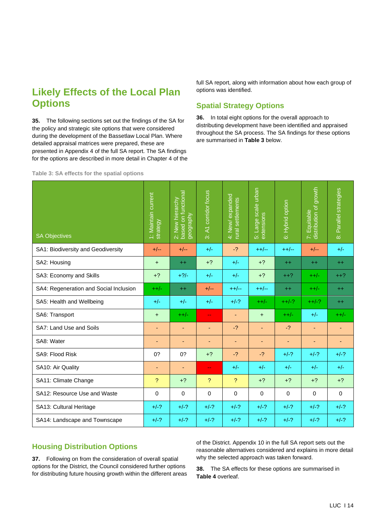# **Likely Effects of the Local Plan Options**

**35.** The following sections set out the findings of the SA for the policy and strategic site options that were considered during the development of the Bassetlaw Local Plan. Where detailed appraisal matrices were prepared, these are presented in Appendix 4 of the full SA report. The SA findings for the options are described in more detail in Chapter 4 of the full SA report, along with information about how each group of options was identified.

# **Spatial Strategy Options**

**36.** In total eight options for the overall approach to distributing development have been identified and appraised throughout the SA process. The SA findings for these options are summarised in **Table 3** below.

**Table 3: SA effects for the spatial options**

| <b>SA Objectives</b>                   | 1: Maintain current<br>strategy | based on functional<br>2: New hierarchy<br>geography | 3: A1 corridor focus     | expanded<br>rural settlements<br>4: New/ | Large scale urban<br>extensions<br>$\overline{5}$ | 6: Hybrid option | growth<br>7: Equitable<br>distribution of g<br>Equitable | Parallel strategies<br><br>86 |
|----------------------------------------|---------------------------------|------------------------------------------------------|--------------------------|------------------------------------------|---------------------------------------------------|------------------|----------------------------------------------------------|-------------------------------|
| SA1: Biodiversity and Geodiversity     | $+/--$                          | $+/--$                                               | $+/-$                    | $-2$                                     | $++/--$                                           | $++/--$          | $+/--$                                                   | $+/-$                         |
| SA2: Housing                           | $+$                             | $++$                                                 | $+2$                     | $+/-$                                    | $+?$                                              | $++$             | $^{++}$                                                  | $++$                          |
| SA3: Economy and Skills                | $+2$                            | $+$ ?/-                                              | $+/-$                    | $+/-$                                    | $+?$                                              | $++?$            | $++/-$                                                   | $++?$                         |
| SA4: Regeneration and Social Inclusion | $++/-$                          | $++$                                                 | $+/--$                   | $++/--$                                  | $++/--$                                           | $++$             | $++/-$                                                   | $++$                          |
| SA5: Health and Wellbeing              | $+/-$                           | $+/-$                                                | $+/-$                    | $+/-?$                                   | $++/-$                                            | $++/-?$          | $++/-?$                                                  | $^{++}$                       |
| SA6: Transport                         | $+$                             | $++/$                                                | $\mathbf{u}$             | Ξ                                        | $\ddot{}$                                         | $++/-$           | $+/-$                                                    | $++/-$                        |
| SA7: Land Use and Soils                | ٠                               | ٠                                                    | ٠                        | $-2$                                     | ٠                                                 | $-2$             | ٠                                                        |                               |
| SA8: Water                             |                                 | ٠                                                    | ٠                        | ٠                                        | ٠                                                 | $\blacksquare$   | ٠                                                        |                               |
| SA9: Flood Risk                        | 0?                              | 0?                                                   | $+2$                     | $-2$                                     | $-2$                                              | $+/-?$           | $+/-?$                                                   | $+/-?$                        |
| SA10: Air Quality                      | ٠                               | Ξ                                                    | $\overline{\phantom{m}}$ | $+/-$                                    | $+/-$                                             | $+/-$            | $+/-$                                                    | $+/-$                         |
| SA11: Climate Change                   | $\mathcal{P}$                   | $+2$                                                 | ?                        | $\mathcal{P}$                            | $+2$                                              | $+2$             | $+2$                                                     | $+2$                          |
| SA12: Resource Use and Waste           | $\Omega$                        | $\Omega$                                             | 0                        | 0                                        | $\Omega$                                          | $\Omega$         | $\Omega$                                                 | $\Omega$                      |
| SA13: Cultural Heritage                | $+/-?$                          | $+/-?$                                               | $+/-?$                   | $+/-?$                                   | $+/-?$                                            | $+/-?$           | $+/-?$                                                   | $+/-?$                        |
| SA14: Landscape and Townscape          | $+/-?$                          | $+/-?$                                               | $+/-?$                   | $+/-?$                                   | $+/-?$                                            | $+/-?$           | $+/-?$                                                   | $+/-?$                        |

# **Housing Distribution Options**

**37.** Following on from the consideration of overall spatial options for the District, the Council considered further options for distributing future housing growth within the different areas of the District. Appendix 10 in the full SA report sets out the reasonable alternatives considered and explains in more detail why the selected approach was taken forward.

**38.** The SA effects for these options are summarised in **Table 4** overleaf.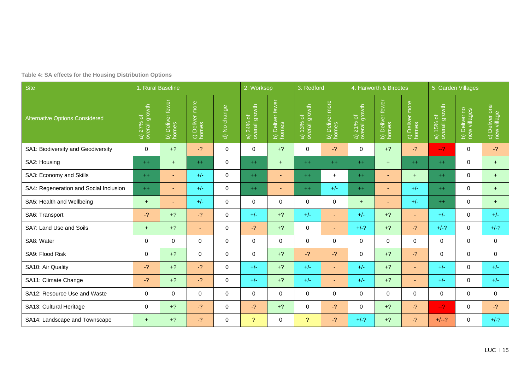|  |  | Table 4: SA effects for the Housing Distribution Options |  |  |
|--|--|----------------------------------------------------------|--|--|
|--|--|----------------------------------------------------------|--|--|

| Site                                   |                                              | 1. Rural Baseline |                          |                                  |                                        | 2. Worksop<br>3. Redford           |                             |                          |                             | 4. Harworth & Bircotes    |                 | 5. Garden Villages          |                               |                               |  |
|----------------------------------------|----------------------------------------------|-------------------|--------------------------|----------------------------------|----------------------------------------|------------------------------------|-----------------------------|--------------------------|-----------------------------|---------------------------|-----------------|-----------------------------|-------------------------------|-------------------------------|--|
| <b>Alternative Options Considered</b>  | a) $27\%$ of $overline{a}$<br>overall growth | b) Deliver fewer  | c) Deliver more<br>homes | No change<br>$\overline{\sigma}$ | growth<br>চ<br>a) $24%$<br>overall $($ | Deliver fewer<br>b) Deliv<br>homes | a) 13% of<br>overall growth | b) Deliver more<br>homes | a) 21% of<br>overall growth | b) Deliver fewer<br>homes | c) Deliver more | a) 15% of<br>overall growth | b) Deliver no<br>new villages | c) Deliver one<br>new village |  |
| SA1: Biodiversity and Geodiversity     | $\mathbf{0}$                                 | $+?$              | $-2$                     | $\Omega$                         | $\Omega$                               | $+?$                               | $\Omega$                    | $-2$                     | $\Omega$                    | $+?$                      | $-2$            | $-2^{1}$                    | $\mathbf{0}$                  | $-2$                          |  |
| SA2: Housing                           | $++$                                         | $+$               | $++$                     | $\mathbf 0$                      | $++$                                   | $+$                                | $++$                        | $++$                     | $++$                        | $+$                       | $++$            | $++$                        | $\mathbf 0$                   | $+$                           |  |
| SA3: Economy and Skills                | $++$                                         | ٠                 | $+/-$                    | $\Omega$                         | $++$                                   | ٠                                  | $++$                        | $+$                      | $++$                        | $\sim$                    | $+$             | $++$                        | $\mathbf 0$                   | $+$                           |  |
| SA4: Regeneration and Social Inclusion | $++$                                         | ٠                 | $+/-$                    | $\Omega$                         | $++$                                   | ٠                                  | $++$                        | $+/-$                    | $++$                        | $\sim$                    | $+/-$           | $++$                        | $\mathbf 0$                   | $+$                           |  |
| SA5: Health and Wellbeing              | $+$                                          | ٠                 | $+/-$                    | $\Omega$                         | $\Omega$                               | $\Omega$                           | $\mathbf 0$                 | $\mathbf 0$              | $+$                         | $\sim$                    | $+/-$           | $++$                        | $\mathbf 0$                   | $+$                           |  |
| SA6: Transport                         | $-2$                                         | $+2$              | $-2$                     | $\Omega$                         | $+/-$                                  | $+2$                               | $+/-$                       | $\sim$                   | $+/-$                       | $+?$                      | ٠               | $+/-$                       | $\mathbf 0$                   | $+/-$                         |  |
| SA7: Land Use and Soils                | $+$                                          | $+2$              | ٠                        | $\Omega$                         | $-2$                                   | $+2$                               | $\mathbf 0$                 | $\overline{\phantom{0}}$ | $+/-?$                      | $+?$                      | $-2$            | $+/-?$                      | $\mathbf 0$                   | $+/-?$                        |  |
| SA8: Water                             | $\mathbf 0$                                  | $\mathbf 0$       | $\Omega$                 | $\Omega$                         | $\Omega$                               | $\Omega$                           | $\mathbf 0$                 | $\mathbf 0$              | 0                           | 0                         | $\mathbf 0$     | $\mathbf 0$                 | $\mathbf 0$                   | $\mathbf 0$                   |  |
| SA9: Flood Risk                        | $\mathbf 0$                                  | $+?$              | $\Omega$                 | $\Omega$                         | $\Omega$                               | $+?$                               | $-2$                        | $-2$                     | $\mathbf 0$                 | $+?$                      | $-2$            | $\mathbf 0$                 | $\mathbf 0$                   | $\mathbf 0$                   |  |
| SA10: Air Quality                      | $-2$                                         | $+?$              | $-2$                     | $\Omega$                         | $+/-$                                  | $+?$                               | $+/-$                       | $\overline{\phantom{0}}$ | $+/-$                       | $+?$                      | $\sim$          | $+/-$                       | $\mathbf 0$                   | $+/-$                         |  |
| SA11: Climate Change                   | $-2$                                         | $+2$              | $-2$                     | $\Omega$                         | $+/-$                                  | $+?$                               | $+/-$                       | ٠                        | $+/-$                       | $+?$                      | $\sim$          | $+/-$                       | $\mathbf 0$                   | $+/-$                         |  |
| SA12: Resource Use and Waste           | $\Omega$                                     | $\Omega$          | $\Omega$                 | $\Omega$                         | $\Omega$                               | $\Omega$                           | $\Omega$                    | $\Omega$                 | 0                           | 0                         | $\mathbf 0$     | $\mathbf 0$                 | $\mathbf 0$                   | $\mathbf 0$                   |  |
| SA13: Cultural Heritage                | $\mathbf 0$                                  | $+?$              | $-2$                     | $\Omega$                         | $-2$                                   | $+?$                               | 0                           | $-2$                     | 0                           | $+?$                      | $-2$            | $-2^{1}$                    | 0                             | $-2$                          |  |
| SA14: Landscape and Townscape          | $+$                                          | $+2$              | $-2$                     | $\Omega$                         | 2                                      | $\Omega$                           | $\mathcal{P}$               | $-2$                     | $+/-?$                      | $+?$                      | $-2$            | $+/-?$                      | $\mathbf 0$                   | $+/-?$                        |  |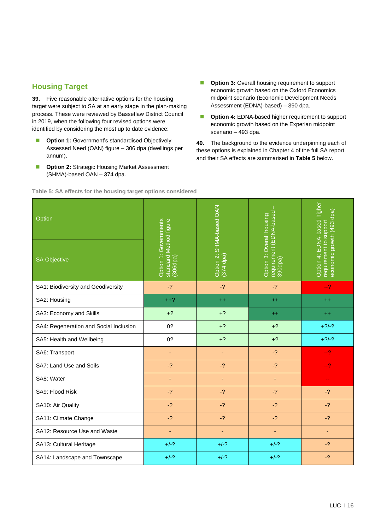#### **Housing Target**

**39.** Five reasonable alternative options for the housing target were subject to SA at an early stage in the plan-making process. These were reviewed by Bassetlaw District Council in 2019, when the following four revised options were identified by considering the most up to date evidence:

- **Option 1:** Government's standardised Objectively Assessed Need (OAN) figure – 306 dpa (dwellings per annum).
- **Option 2: Strategic Housing Market Assessment** (SHMA)-based OAN – 374 dpa.
- **Option 3:** Overall housing requirement to support economic growth based on the Oxford Economics midpoint scenario (Economic Development Needs Assessment (EDNA)-based) – 390 dpa.
- **Option 4: EDNA-based higher requirement to support** economic growth based on the Experian midpoint scenario – 493 dpa.

**40.** The background to the evidence underpinning each of these options is explained in Chapter 4 of the full SA report and their SA effects are summarised in **Table 5** below.

| Option                                 |                                                             | Option 2: SHMA-based OAN<br>(374 dpa) |                                                                 | EDNA-based higher                                                |
|----------------------------------------|-------------------------------------------------------------|---------------------------------------|-----------------------------------------------------------------|------------------------------------------------------------------|
| <b>SA Objective</b>                    | Option 1: Governments<br>standard Method figure<br>(306dpa) |                                       | requirement (EDNA-based<br>390dpa)<br>Option 3: Overall housing | economic growth (493 dpa)<br>requirement to support<br>Option 4: |
| SA1: Biodiversity and Geodiversity     | $-2$                                                        | $-2$                                  | $-2$                                                            | $-2$                                                             |
| SA2: Housing                           | $++?$                                                       | $++$                                  | $++$                                                            | $++$                                                             |
| SA3: Economy and Skills                | $+?$                                                        | $+?$                                  | $^{++}$                                                         | $++$                                                             |
| SA4: Regeneration and Social Inclusion | 0?                                                          | $+?$                                  | $+?$                                                            | $+2/-?$                                                          |
| SA5: Health and Wellbeing              | 0?                                                          | $+?$                                  | $+?$                                                            | $+2/-?$                                                          |
| SA6: Transport                         | $\overline{\phantom{a}}$                                    | $\blacksquare$                        | $-2$                                                            | $-2$                                                             |
| SA7: Land Use and Soils                | $-2$                                                        | $-2$                                  | $-2$                                                            | $-2$                                                             |
| SA8: Water                             |                                                             | ٠                                     | $\overline{\phantom{a}}$                                        | $\overline{\phantom{a}}$                                         |
| SA9: Flood Risk                        | $-2$                                                        | $-2$                                  | $-2$                                                            | $-2$                                                             |
| SA10: Air Quality                      | $-2$                                                        | $-2$                                  | $-2$                                                            | $-2$                                                             |
| SA11: Climate Change                   | $-2$                                                        | $-2$                                  | $-2$                                                            | $-2$                                                             |
| SA12: Resource Use and Waste           | ٠                                                           | ÷                                     | ٠                                                               |                                                                  |
| SA13: Cultural Heritage                | $+/-?$                                                      | $+/-?$                                | $+/-?$                                                          | $-2$                                                             |
| SA14: Landscape and Townscape          | $+/-?$                                                      | $+/-?$                                | $+/-?$                                                          | $-2$                                                             |

**Table 5: SA effects for the housing target options considered**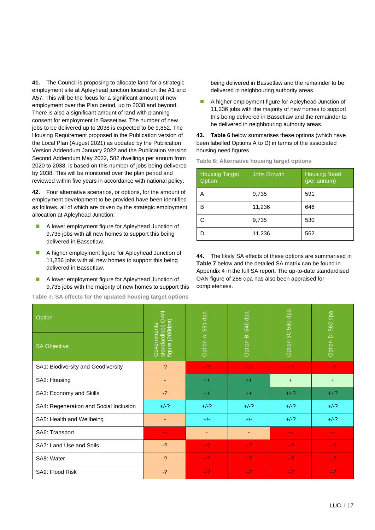**41.** The Council is proposing to allocate land for a strategic employment site at Apleyhead junction located on the A1 and A57. This will be the focus for a significant amount of new employment over the Plan period, up to 2038 and beyond. There is also a significant amount of land with planning consent for employment in Bassetlaw. The number of new jobs to be delivered up to 2038 is expected to be 9,852. The Housing Requirement proposed in the Publication version of the Local Plan (August 2021) as updated by the Publication Version Addendum January 2022 and the Publication Version Second Addendum May 2022, 582 dwellings per annum from 2020 to 2038, is based on this number of jobs being delivered by 2038. This will be monitored over the plan period and reviewed within five years in accordance with national policy.

**42.** Four alternative scenarios, or options, for the amount of employment development to be provided have been identified as follows, all of which are driven by the strategic employment allocation at Apleyhead Junction:

- A lower employment figure for Apleyhead Junction of 9,735 jobs with all new homes to support this being delivered in Bassetlaw.
- A higher employment figure for Apleyhead Junction of 11,236 jobs with all new homes to support this being delivered in Bassetlaw.
- A lower employment figure for Apleyhead Junction of 9,735 jobs with the majority of new homes to support this

**Table 7: SA effects for the updated housing target options**

being delivered in Bassetlaw and the remainder to be delivered in neighbouring authority areas.

■ A higher employment figure for Apleyhead Junction of 11,236 jobs with the majority of new homes to support this being delivered in Bassetlaw and the remainder to be delivered in neighbouring authority areas.

**43. Table 6** below summarises these options (which have been labelled Options A to D) in terms of the associated housing need figures.

| <b>Housing Target</b><br>Option | <b>Jobs Growth</b> | <b>Housing Need</b><br>(per annum) |
|---------------------------------|--------------------|------------------------------------|
| А                               | 9,735              | 591                                |
| B                               | 11,236             | 646                                |
|                                 | 9,735              | 530                                |
|                                 | 11,236             | 562                                |

**Table 6: Alternative housing target options**

**44.** The likely SA effects of these options are summarised in **Table 7** below and the detailed SA matrix can be found in Appendix 4 in the full SA report. The up-to-date standardised OAN figure of 288 dpa has also been appraised for completeness.

| Option                                 |                                                    | dpa<br>591 | dpa<br>646 | 530 dpa                     |                   |
|----------------------------------------|----------------------------------------------------|------------|------------|-----------------------------|-------------------|
| <b>SA Objective</b>                    | standardised OAN<br>figure (288dpa)<br>Governments | Option A:  | Option B:  | Option 3C                   | Option D: 562 dpa |
| SA1: Biodiversity and Geodiversity     | $-2$                                               | $-2$       | $-2$       | $-2$                        | $-2$              |
| SA2: Housing                           | ٠                                                  | $+$        | $+$        | $+$                         | $+$               |
| SA3: Economy and Skills                | $-2$                                               | $+$        | $^{++}$    | $++?$                       | $++?$             |
| SA4: Regeneration and Social Inclusion | $+/-?$                                             | $+/-?$     | $+/-?$     | $+/-?$                      | $+/-?$            |
| SA5: Health and Wellbeing              |                                                    | $+/-$      | $+/-$      | $+/-?$                      | $+/-?$            |
| SA6: Transport                         | $\sim$                                             | ٠          | ٠          | $\rightarrow$ $\rightarrow$ | $\sim$ $\sim$     |
| SA7: Land Use and Soils                | $-2$                                               | $-2$       | $-2$       | $-2$                        | $-2$              |
| SA8: Water                             | $-2$                                               | $-2$       | $-2$       | $-2$                        | $-2$              |
| SA9: Flood Risk                        | $-2$                                               | $-2$       | $-2$       | $-2$                        | $-2$              |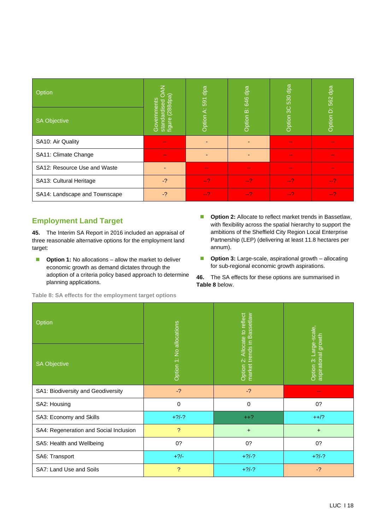| Option                        | (288dpa)<br>l≌<br>මි<br>d)               | dpa           | dpa<br>646  | $530$ dpa | dpa           |
|-------------------------------|------------------------------------------|---------------|-------------|-----------|---------------|
| <b>SA Objective</b>           | lgib<br>standard<br>figure (2<br>ලි<br>ප | Option A: 591 | ்<br>Option | Option 3C | Option D: 562 |
| SA10: Air Quality             | $\sim$                                   |               |             | --        |               |
| SA11: Climate Change          | $\sim$                                   |               |             | ۰.        |               |
| SA12: Resource Use and Waste  |                                          | --            | --          | ۰.        |               |
| SA13: Cultural Heritage       | $-2$                                     | $-2$          | $-2$        | $-2$      | $-2$          |
| SA14: Landscape and Townscape | $-2$                                     | $-2$          | $-2$        | $-2$      | $-2$          |

# **Employment Land Target**

**45.** The Interim SA Report in 2016 included an appraisal of three reasonable alternative options for the employment land target:

- **Option 1:** No allocations allow the market to deliver economic growth as demand dictates through the adoption of a criteria policy based approach to determine planning applications.
- **Option 2:** Allocate to reflect market trends in Bassetlaw, with flexibility across the spatial hierarchy to support the ambitions of the Sheffield City Region Local Enterprise Partnership (LEP) (delivering at least 11.8 hectares per annum).
- **Option 3:** Large-scale, aspirational growth allocating for sub-regional economic growth aspirations.

**46.** The SA effects for these options are summarised in **Table 8** below.

| Option                                 |                          | Allocate to reflect                                      | Large-scale,                     |
|----------------------------------------|--------------------------|----------------------------------------------------------|----------------------------------|
| <b>SA Objective</b>                    | Option 1: No allocations | market trends in Bassetlaw<br>$\ddot{\alpha}$<br>Option: | aspirational growth<br>Option 3: |
| SA1: Biodiversity and Geodiversity     | $-2$                     | $-2$                                                     | ۰.                               |
| SA2: Housing                           | 0                        | 0                                                        | 0?                               |
| SA3: Economy and Skills                | $+?/-?$                  | $++?$                                                    | $++/?$                           |
| SA4: Regeneration and Social Inclusion | $\mathcal{P}$            | $\ddot{}$                                                | $\ddot{}$                        |
| SA5: Health and Wellbeing              | 0?                       | 0?                                                       | 0?                               |
| SA6: Transport                         | $+2/-$                   | $+?\frac{1}{?}$                                          | $+?\frac{1}{?}$                  |
| SA7: Land Use and Soils                | ?                        | $+?\frac{1}{?}$                                          | $-2$                             |

**Table 8: SA effects for the employment target options**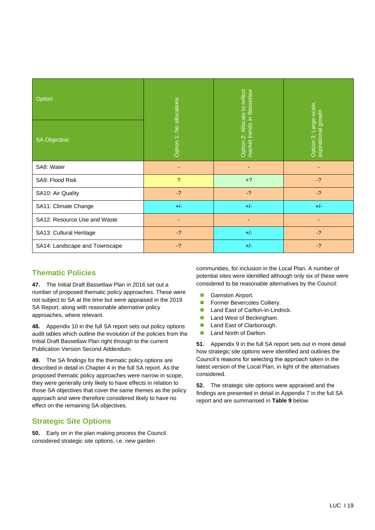| Option                        |                          |                                                             |                                               |
|-------------------------------|--------------------------|-------------------------------------------------------------|-----------------------------------------------|
| <b>SA Objective</b>           | Option 1: No allocations | Option 2: Allocate to reflect<br>market trends in Bassetlaw | Option 3: Large-scale,<br>aspirational growth |
| SA8: Water                    | ٠                        | ٠                                                           |                                               |
| SA9: Flood Risk               | ?                        | $+?$                                                        | $-2$                                          |
| SA10: Air Quality             | $-2$                     | $-2$                                                        | $-2$                                          |
| SA11: Climate Change          | $+/-$                    | $+/-$                                                       | $+/-$                                         |
| SA12: Resource Use and Waste  |                          |                                                             |                                               |
| SA13: Cultural Heritage       | $-2$                     | $+/-$                                                       | $-2$                                          |
| SA14: Landscape and Townscape | $-2$                     | $+/-$                                                       | $-2$                                          |

# **Thematic Policies**

**47.** The Initial Draft Bassetlaw Plan in 2016 set out a number of proposed thematic policy approaches. These were not subject to SA at the time but were appraised in the 2019 SA Report, along with reasonable alternative policy approaches, where relevant.

**48.** Appendix 10 in the full SA report sets out policy options audit tables which outline the evolution of the policies from the Initial Draft Bassetlaw Plan right through to the current Publication Version Second Addendum.

**49.** The SA findings for the thematic policy options are described in detail in Chapter 4 in the full SA report. As the proposed thematic policy approaches were narrow in scope, they were generally only likely to have effects in relation to those SA objectives that cover the same themes as the policy approach and were therefore considered likely to have no effect on the remaining SA objectives.

# **Strategic Site Options**

**50.** Early on in the plan making process the Council considered strategic site options, i.e. new garden

communities, for inclusion in the Local Plan. A number of potential sites were identified although only six of these were considered to be reasonable alternatives by the Council:

- Gamston Airport.
- Former Bevercotes Colliery.
- Land East of Carlton-in-Lindrick.
- Land West of Beckingham.
- Land East of Clarborough.
- Land North of Darlton.

**51.** Appendix 9 in the full SA report sets out in more detail how strategic site options were identified and outlines the Council's reasons for selecting the approach taken in the latest version of the Local Plan, in light of the alternatives considered.

**52.** The strategic site options were appraised and the findings are presented in detail in Appendix 7 in the full SA report and are summarised in **Table 9** below.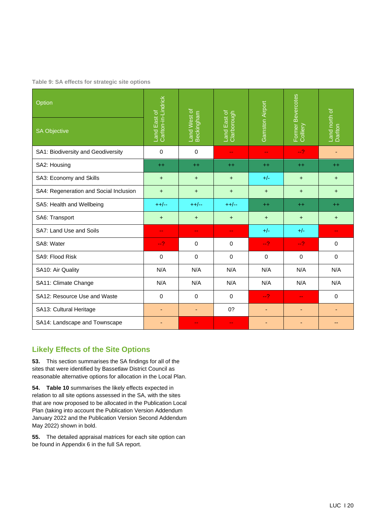**Table 9: SA effects for strategic site options**

| Option                                 |                                     |                            |                             |                          |                               |                          |
|----------------------------------------|-------------------------------------|----------------------------|-----------------------------|--------------------------|-------------------------------|--------------------------|
| <b>SA Objective</b>                    | Carlton-in-Lindrick<br>Land East of | Land West of<br>Beckingham | Land East of<br>Clarborough | Gamston Airport          | Former Bevercotes<br>Colliery | Land north of<br>Darlton |
| SA1: Biodiversity and Geodiversity     | $\Omega$                            | $\Omega$                   | $\overline{\phantom{m}}$    | $\overline{\phantom{a}}$ | $-2$                          | ٠                        |
| SA2: Housing                           | $++$                                | $++$                       | $++$                        | $+$                      | $++$                          | $^{++}$                  |
| SA3: Economy and Skills                | $\ddot{}$                           | $\ddot{}$                  | $\ddot{}$                   | $+/-$                    | $\ddot{}$                     | $\ddot{}$                |
| SA4: Regeneration and Social Inclusion | $\ddot{}$                           | $\ddot{}$                  | $\ddot{}$                   | $+$                      | $\ddot{}$                     | $\ddot{}$                |
| SA5: Health and Wellbeing              | $++/--$                             | $++/--$                    | $++/--$                     | $++$                     | $++$                          | $++$                     |
| SA6: Transport                         | $\ddot{}$                           | $\pm$                      | $\ddot{}$                   | $\ddot{}$                | $\ddot{}$                     | +                        |
| SA7: Land Use and Soils                | ۵۵                                  | $-$                        | $-$                         | $+/-$                    | $+/-$                         | ۵۵                       |
| SA8: Water                             | $-2$                                | 0                          | 0                           | $-2$                     | $-2$                          | 0                        |
| SA9: Flood Risk                        | $\Omega$                            | $\mathbf 0$                | 0                           | $\mathbf 0$              | 0                             | 0                        |
| SA10: Air Quality                      | N/A                                 | N/A                        | N/A                         | N/A                      | N/A                           | N/A                      |
| SA11: Climate Change                   | N/A                                 | N/A                        | N/A                         | N/A                      | N/A                           | N/A                      |
| SA12: Resource Use and Waste           | $\Omega$                            | $\Omega$                   | 0                           | $-2$                     | $\overline{\phantom{m}}$      | $\Omega$                 |
| SA13: Cultural Heritage                | ٠                                   | ٠                          | 0?                          | ٠                        | $\blacksquare$                | ٠                        |
| SA14: Landscape and Townscape          |                                     | ۵۵                         | $\rightarrow$ $\rightarrow$ |                          | ٠                             |                          |

# **Likely Effects of the Site Options**

**53.** This section summarises the SA findings for all of the sites that were identified by Bassetlaw District Council as reasonable alternative options for allocation in the Local Plan.

**54. Table 10** summarises the likely effects expected in relation to all site options assessed in the SA, with the sites that are now proposed to be allocated in the Publication Local Plan (taking into account the Publication Version Addendum January 2022 and the Publication Version Second Addendum May 2022) shown in bold.

**55.** The detailed appraisal matrices for each site option can be found in Appendix 6 in the full SA report.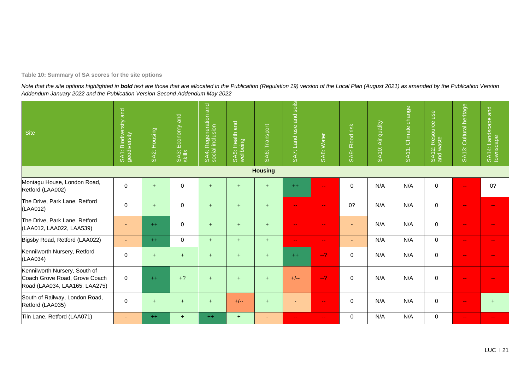#### **Table 10: Summary of SA scores for the site options**

Note that the site options highlighted in bold text are those that are allocated in the Publication (Regulation 19) version of the Local Plan (August 2021) as amended by the Publication Version *Addendum January 2022 and the Publication Version Second Addendum May 2022*

| Site                                                                                            | SA1: Biodiversity and<br>geodiversity | SA2: Housing | Economy and<br>SA3: I | SA4: Regeneration and<br>social inclusion | $ \vec{a} $<br>lealth<br>SA5: Heal | Transport<br>SA6: | SA7: Land use and soils   | SA8: Water                | SA9: Flood risk          | Air quality<br>SA10: | SA11: Climate change | SA12: Resource use<br>and waste | SA13: Cultural heritage  | and<br>SA14: Landscape<br>townscape |
|-------------------------------------------------------------------------------------------------|---------------------------------------|--------------|-----------------------|-------------------------------------------|------------------------------------|-------------------|---------------------------|---------------------------|--------------------------|----------------------|----------------------|---------------------------------|--------------------------|-------------------------------------|
|                                                                                                 |                                       |              |                       |                                           |                                    | <b>Housing</b>    |                           |                           |                          |                      |                      |                                 |                          |                                     |
| Montagu House, London Road,<br>Retford (LAA002)                                                 | 0                                     | $+$          | $\mathbf 0$           | $+$                                       | $+$                                | $+$               | $++$                      | $\sim$ $-$                | $\mathbf 0$              | N/A                  | N/A                  | $\mathbf 0$                     | ۵.                       | 0?                                  |
| The Drive, Park Lane, Retford<br>(LAA012)                                                       | 0                                     | $\ddot{}$    | $\mathbf 0$           | $+$                                       | $+$                                | $+$               | $\overline{\phantom{m}}$  | $\mathbf{u} = \mathbf{v}$ | 0?                       | N/A                  | N/A                  | $\mathbf 0$                     | $\rightarrow$            |                                     |
| The Drive, Park Lane, Retford<br>(LAA012, LAA022, LAA539)                                       |                                       | $++$         | $\mathbf 0$           | $\ddot{}$                                 | $+$                                | $+$               | $\mathbf{u}$              | $\mathbf{u} = \mathbf{v}$ | $\overline{\phantom{a}}$ | N/A                  | N/A                  | $\mathbf 0$                     | $\overline{\phantom{m}}$ |                                     |
| Bigsby Road, Retford (LAA022)                                                                   | ٠                                     | $++$         | $\mathbf 0$           | $+$                                       | $+$                                | $+$               | $\overline{\phantom{a}}$  | $\sim$ $\sim$             | $\overline{\phantom{a}}$ | N/A                  | N/A                  | $\mathbf 0$                     | $\overline{\phantom{m}}$ | $\sim$ $\sim$                       |
| Kennilworth Nursery, Retford<br>(LAA034)                                                        | 0                                     | $+$          | $+$                   | $+$                                       | $+$                                | $+$               | $^{++}$                   | $-2$                      | $\mathbf 0$              | N/A                  | N/A                  | $\mathbf 0$                     | ۵.                       |                                     |
| Kennilworth Nursery, South of<br>Coach Grove Road, Grove Coach<br>Road (LAA034, LAA165, LAA275) | 0                                     | $++$         | $+2$                  | $+$                                       | $+$                                | $+$               | $+/--$                    | $-2$                      | $\mathbf 0$              | N/A                  | N/A                  | $\mathbf 0$                     | ۵.                       |                                     |
| South of Railway, London Road,<br>Retford (LAA035)                                              | 0                                     | $\ddot{}$    | $+$                   | $+$                                       | $+/--$                             | $+$               |                           | $\mathbf{u} = \mathbf{v}$ | 0                        | N/A                  | N/A                  | 0                               | ۵.                       | $\ddot{}$                           |
| Tiln Lane, Retford (LAA071)                                                                     | $\sim$                                | $^{++}$      | $+$                   | $++$                                      | $+$                                | ٠                 | $\mathbf{u} = \mathbf{v}$ | $\sim$                    | $\mathbf 0$              | N/A                  | N/A                  | $\mathbf 0$                     | $\overline{\phantom{m}}$ | $\sim$ $\sim$                       |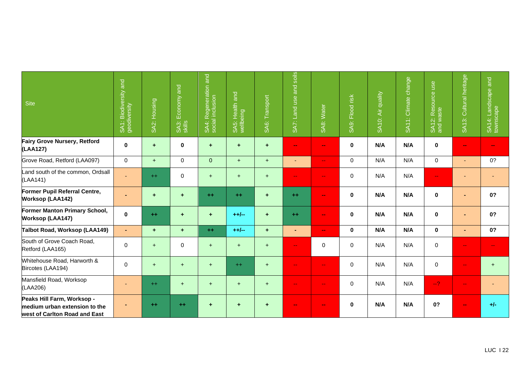| <b>Site</b>                                                                                  | and<br>SA1: Biodiversity<br>geodiversity | SA2: Housing | Economy and<br>SA3:<br>skills | SA4: Regeneration and<br>social inclusion | $ \vec{a} $<br>SA5: Health a<br>wellbeing | Transport<br>SA <sub>6</sub> : | soils<br>and<br>SA7: Land use | SA8: Water               | Flood risk<br>SA <sub>9</sub> : I | SA10: Air quality | SA11: Climate change | SA12: Resource use<br>and waste | SA13: Cultural heritage | SA14: Landscape and<br>townscape |
|----------------------------------------------------------------------------------------------|------------------------------------------|--------------|-------------------------------|-------------------------------------------|-------------------------------------------|--------------------------------|-------------------------------|--------------------------|-----------------------------------|-------------------|----------------------|---------------------------------|-------------------------|----------------------------------|
| Fairy Grove Nursery, Retford<br>(LAA127)                                                     | 0                                        | $\ddot{}$    | $\bf{0}$                      | $\ddot{}$                                 | ÷                                         | $\pm$                          | $\frac{1}{2}$                 | $\blacksquare$           | $\mathbf 0$                       | N/A               | N/A                  | $\mathbf 0$                     | $\frac{1}{2}$           | --                               |
| Grove Road, Retford (LAA097)                                                                 | $\mathbf 0$                              | $+$          | $\mathbf 0$                   | $\overline{0}$                            | $+$                                       | $+$                            | ٠                             | $\sim$                   | $\Omega$                          | N/A               | N/A                  | $\mathbf 0$                     | $\blacksquare$          | 0?                               |
| Land south of the common, Ordsall<br>(LAA141)                                                |                                          | $+$          | $\pmb{0}$                     | $+$                                       | $\ddot{}$                                 | $+$                            | $- -$                         | ۰.                       | $\mathbf 0$                       | N/A               | N/A                  | $\rightarrow$                   |                         |                                  |
| Former Pupil Referral Centre,<br><b>Worksop (LAA142)</b>                                     |                                          | $\ddot{}$    | $\ddot{}$                     | $+ +$                                     | $+ +$                                     | $\ddot{}$                      | $+ +$                         | $\frac{1}{2}$            | $\mathbf 0$                       | N/A               | N/A                  | $\mathbf 0$                     | ٠                       | 0?                               |
| Former Manton Primary School,<br>Worksop (LAA147)                                            | 0                                        | $++$         | $\ddot{\phantom{1}}$          | $\ddot{}$                                 | $++/--$                                   | $\ddot{}$                      | $++$                          | ш.                       | $\mathbf 0$                       | N/A               | N/A                  | $\bf{0}$                        | $\blacksquare$          | 0?                               |
| Talbot Road, Worksop (LAA149)                                                                | $\sim$                                   | ٠            | $\ddot{}$                     | $+ +$                                     | $++/--$                                   | $\ddot{}$                      | $\blacksquare$                | $\frac{1}{2}$            | $\mathbf 0$                       | N/A               | N/A                  | $\mathbf 0$                     | ٠                       | 0?                               |
| South of Grove Coach Road,<br>Retford (LAA165)                                               | $\mathbf 0$                              | $+$          | $\mathbf 0$                   | $+$                                       | $+$                                       | $+$                            | $\overline{\phantom{a}}$      | $\mathbf 0$              | $\mathbf 0$                       | N/A               | N/A                  | $\mathbf 0$                     | $\sim$ $\sim$           | ۰.                               |
| Whitehouse Road, Harworth &<br>Bircotes (LAA194)                                             | $\Omega$                                 | $+$          | $+$                           | $+$                                       | $++$                                      | $+$                            | $-1$                          | $\overline{\phantom{a}}$ | $\mathbf 0$                       | N/A               | N/A                  | $\mathbf 0$                     | --                      | $+$                              |
| Mansfield Road, Worksop<br>(LAA206)                                                          |                                          | $++$         | $+$                           | $+$                                       | $\ddot{}$                                 | $+$                            | $- -$                         | ۰.                       | $\mathbf 0$                       | N/A               | N/A                  | $-2$                            | $\sim$ $\sim$           |                                  |
| Peaks Hill Farm, Worksop -<br>medium urban extension to the<br>west of Carlton Road and East |                                          | $^{++}$      | $++$                          | ٠                                         | ÷                                         | $\ddot{\phantom{1}}$           |                               | --                       | $\bf{0}$                          | N/A               | N/A                  | 0?                              |                         | $+/-$                            |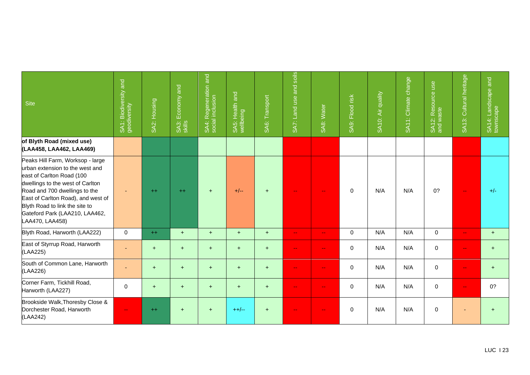| <b>Site</b>                                                                                                                                                                                                                                                                                        | SA1: Biodiversity and<br>geodiversity | SA2: Housing | Economy and<br>SA3:<br>skills | SA4: Regeneration and<br>social inclusion | $\overline{a}$<br>SA5: Health a | SA6: Transport | soils<br>and<br>SA7: Land use | SA8: Water                | SA9: Flood risk | SA10: Air quality | SA11: Climate change | SA12: Resource use<br>and waste | SA13: Cultural heritage | and<br>SA14: Landscape a<br>townscape |
|----------------------------------------------------------------------------------------------------------------------------------------------------------------------------------------------------------------------------------------------------------------------------------------------------|---------------------------------------|--------------|-------------------------------|-------------------------------------------|---------------------------------|----------------|-------------------------------|---------------------------|-----------------|-------------------|----------------------|---------------------------------|-------------------------|---------------------------------------|
| of Blyth Road (mixed use)<br>(LAA458, LAA462, LAA469)                                                                                                                                                                                                                                              |                                       |              |                               |                                           |                                 |                |                               |                           |                 |                   |                      |                                 |                         |                                       |
| Peaks Hill Farm, Worksop - large<br>urban extension to the west and<br>east of Carlton Road (100<br>dwellings to the west of Carlton<br>Road and 700 dwellings to the<br>East of Carlton Road), and west of<br>Blyth Road to link the site to<br>Gateford Park (LAA210, LAA462,<br>LAA470, LAA458) |                                       | $++$         | $++$                          | $+$                                       | $+/--$                          | $+$            |                               |                           | $\mathbf 0$     | N/A               | N/A                  | 0?                              | ш.                      | $+/-$                                 |
| Blyth Road, Harworth (LAA222)                                                                                                                                                                                                                                                                      | $\mathbf 0$                           | $++$         | $+$                           | $+$                                       | $+$                             | $+$            | $\mathbf{u}$                  | н.                        | $\mathbf 0$     | N/A               | N/A                  | $\mathbf 0$                     | н.                      | $+$                                   |
| East of Styrrup Road, Harworth<br>(LAA225)                                                                                                                                                                                                                                                         |                                       | $+$          | $+$                           | $+$                                       | $+$                             | $+$            | $\overline{\phantom{a}}$      | $\mathbf{u} = \mathbf{v}$ | $\mathbf{0}$    | N/A               | N/A                  | $\Omega$                        | ш.                      | $\ddot{}$                             |
| South of Common Lane, Harworth<br>(LAA226)                                                                                                                                                                                                                                                         |                                       | $+$          | $+$                           | $+$                                       | $+$                             | $+$            |                               |                           | $\mathbf{0}$    | N/A               | N/A                  | $\mathbf 0$                     | ۵۵                      | $\ddot{}$                             |
| Corner Farm, Tickhill Road,<br>Harworth (LAA227)                                                                                                                                                                                                                                                   | $\mathbf 0$                           | $+$          | $+$                           | $+$                                       | $+$                             | $+$            | $\overline{\phantom{a}}$      | $\mathbf{u} = \mathbf{v}$ | $\mathbf 0$     | N/A               | N/A                  | $\mathbf 0$                     | $\overline{a}$          | 0?                                    |
| Brookside Walk, Thoresby Close &<br>Dorchester Road, Harworth<br>(LAA242)                                                                                                                                                                                                                          | $-$                                   | $++$         | $+$                           | $+$                                       | $++/--$                         | $+$            | $- -$                         | $- -$                     | $\mathbf{0}$    | N/A               | N/A                  | $\mathbf 0$                     | ٠                       | $+$                                   |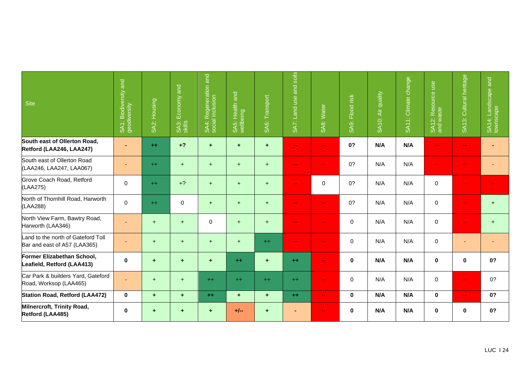| Site                                                               | and<br>Biodiversity<br>SA1: Biodive<br>geodiversity | SA2: Housing         | Economy and<br>SA3:<br>skills | SA4: Regeneration and<br>social inclusion | q <br>SA5: Health a<br>wellbeing | SA6: Transport | soils<br>Land use and<br>SA7: | SA8: Water    | Flood risk<br>SA9: | SA10: Air quality | SA11: Climate change | SA12: Resource use<br>and waste | Cultural heritage<br><b>SA13:</b> | and<br>SA14: Landscape a<br>townscape |
|--------------------------------------------------------------------|-----------------------------------------------------|----------------------|-------------------------------|-------------------------------------------|----------------------------------|----------------|-------------------------------|---------------|--------------------|-------------------|----------------------|---------------------------------|-----------------------------------|---------------------------------------|
| South east of Ollerton Road,<br>Retford (LAA246, LAA247)           |                                                     | $++$                 | $+2$                          | ÷                                         | ÷                                | $\ddot{}$      | $\frac{1}{2}$                 | --            | 0?                 | N/A               | N/A                  | $\frac{1}{2}$                   | $\sim$                            |                                       |
| South east of Ollerton Road<br>(LAA246, LAA247, LAA067)            |                                                     | $++$                 | $+$                           | $+$                                       | $+$                              | $+$            | $\overline{\phantom{a}}$      | ۵.            | 0?                 | N/A               | N/A                  | $\rightarrow$                   | ۵.                                |                                       |
| Grove Coach Road, Retford<br>(LAA275)                              | $\Omega$                                            | $++$                 | $+2$                          | $+$                                       | $+$                              | $+$            | $\overline{\phantom{a}}$      | 0             | 0?                 | N/A               | N/A                  | 0                               | $\mathbf{u}$                      |                                       |
| North of Thornhill Road, Harworth<br>(LAA288)                      | 0                                                   | $++$                 | $\mathbf 0$                   | $+$                                       | $+$                              | $+$            | $\overline{\phantom{a}}$      | ш.            | 0?                 | N/A               | N/A                  | $\mathbf 0$                     | $\mathbf{u}$                      | $+$                                   |
| North View Farm, Bawtry Road,<br>Harworth (LAA346)                 |                                                     | $+$                  | $+$                           | $\Omega$                                  | $+$                              | $+$            | $\overline{\phantom{a}}$      | $-1$          | $\Omega$           | N/A               | N/A                  | $\mathbf 0$                     | $\overline{\phantom{a}}$          | $+$                                   |
| Land to the north of Gateford Toll<br>Bar and east of A57 (LAA365) |                                                     | $+$                  | $+$                           | $+$                                       | $+$                              | $++$           | $\overline{\phantom{m}}$      | $\rightarrow$ | $\mathbf 0$        | N/A               | N/A                  | $\mathbf 0$                     | $\sim$                            | ٠                                     |
| Former Elizabethan School,<br>Leafield, Retford (LAA413)           | 0                                                   | $\ddot{}$            | $\pm$                         | $\ddot{}$                                 | $++$                             | $\pm$          | $+ +$                         | ш.            | $\mathbf 0$        | N/A               | N/A                  | $\mathbf 0$                     | $\mathbf 0$                       | 0?                                    |
| Car Park & builders Yard, Gateford<br>Road, Worksop (LAA465)       |                                                     | $+$                  | $+$                           | $+$                                       | $++$                             | $++$           | $++$                          | $-1$          | $\Omega$           | N/A               | N/A                  | $\mathbf 0$                     | $\overline{\phantom{a}}$          | 0?                                    |
| Station Road, Retford (LAA472)                                     | $\mathbf 0$                                         | $\ddot{\phantom{1}}$ | $\ddot{\phantom{1}}$          | $++$                                      | $\ddot{}$                        | ÷.             | $++$                          | $\sim$        | $\bf{0}$           | N/A               | N/A                  | $\bf{0}$                        | $\mathbf{m}$                      | 0?                                    |
| Milnercroft, Trinity Road,<br>Retford (LAA485)                     | 0                                                   | $\ddot{}$            | $\pm$                         | ٠                                         | $+/--$                           | $\ddot{}$      |                               | --            | $\mathbf 0$        | N/A               | N/A                  | $\mathbf 0$                     | $\mathbf 0$                       | 0?                                    |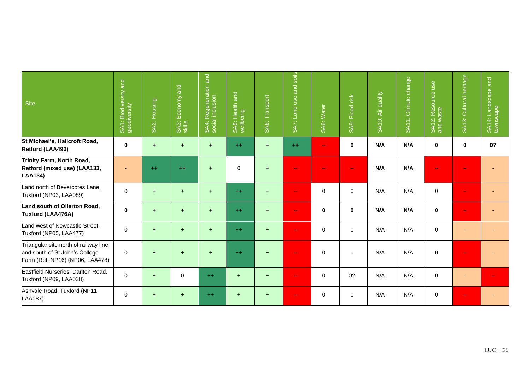| <b>Site</b>                                                                                                | SA1: Biodiversity and<br>geodiversity | SA2: Housing         | Economy and<br>SA3:<br>skills | SA4: Regeneration and<br>social inclusion | $\overline{a}$<br>SA5: Health a<br>wellbeing | SA6: Transport       | soils<br>and<br>Land use<br><b>SAT:</b> | SA8: Water   | SA9: Flood risk | Air quality<br><b>SA10:</b> | SA11: Climate change | SA12: Resource use<br>and waste | Cultural heritage<br><b>SA13:</b> | SA14: Landscape and<br>townscape |
|------------------------------------------------------------------------------------------------------------|---------------------------------------|----------------------|-------------------------------|-------------------------------------------|----------------------------------------------|----------------------|-----------------------------------------|--------------|-----------------|-----------------------------|----------------------|---------------------------------|-----------------------------------|----------------------------------|
| St Michael's, Hallcroft Road,<br>Retford (LAA490)                                                          | 0                                     | $\ddot{\phantom{1}}$ | $\ddot{\phantom{1}}$          | ÷                                         | $++$                                         | $\pm$                | $++$                                    | $\mathbf{m}$ | $\bf{0}$        | N/A                         | N/A                  | $\bf{0}$                        | 0                                 | 0?                               |
| Trinity Farm, North Road,<br>Retford (mixed use) (LAA133,<br><b>LAA134)</b>                                |                                       | $++$                 | $++$                          | ÷                                         | $\bf{0}$                                     | $\pm$                |                                         |              | $\frac{1}{2}$   | N/A                         | N/A                  | $\sim$                          |                                   |                                  |
| Land north of Bevercotes Lane,<br>Tuxford (NP03, LAA089)                                                   | 0                                     | $+$                  | $+$                           | $+$                                       | $++$                                         | $+$                  | $\overline{\phantom{a}}$                | $\mathbf 0$  | $\mathbf 0$     | N/A                         | N/A                  | $\mathbf 0$                     | ш.                                |                                  |
| Land south of Ollerton Road,<br>Tuxford (LAA476A)                                                          | $\bf{0}$                              | $\ddot{\phantom{1}}$ | $\ddot{}$                     | ÷                                         | $++$                                         | $\ddot{\phantom{1}}$ | $\blacksquare$                          | $\pmb{0}$    | $\mathbf 0$     | N/A                         | N/A                  | $\mathbf 0$                     | mm.                               |                                  |
| Land west of Newcastle Street,<br>Tuxford (NP05, LAA477)                                                   | 0                                     | $+$                  | $+$                           | $+$                                       | $++$                                         | $+$                  | $- -$                                   | $\pmb{0}$    | $\mathbf 0$     | N/A                         | N/A                  | $\mathbf 0$                     |                                   |                                  |
| Triangular site north of railway line<br>and south of St John's College<br>Farm (Ref. NP16) (NP06, LAA478) | 0                                     | $+$                  | $+$                           | $\ddot{}$                                 | $++$                                         | $+$                  | ۰.                                      | 0            | $\mathbf 0$     | N/A                         | N/A                  | $\mathbf 0$                     | ۰.                                |                                  |
| Eastfield Nurseries, Darlton Road,<br>Tuxford (NP09, LAA038)                                               | 0                                     | $+$                  | $\mathbf 0$                   | $++$                                      | $+$                                          | $+$                  | $\overline{\phantom{a}}$                | $\mathbf 0$  | 0?              | N/A                         | N/A                  | $\mathbf 0$                     |                                   |                                  |
| Ashvale Road, Tuxford (NP11,<br><b>LAA087)</b>                                                             | 0                                     | $\ddot{}$            | $\ddot{}$                     | $++$                                      | $\ddot{}$                                    | $+$                  | ٠.                                      | $\pmb{0}$    | $\mathbf 0$     | N/A                         | N/A                  | $\mathbf 0$                     | ۵.                                |                                  |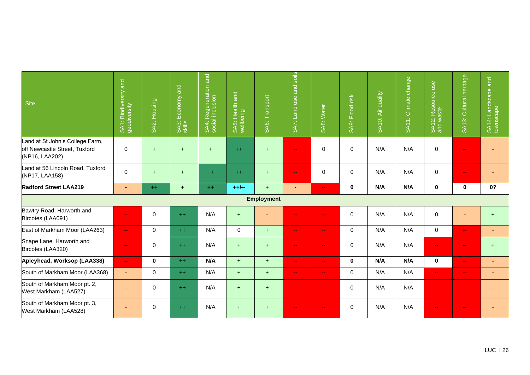| <b>Site</b>                                                                        | Biodiversity and<br>SA1: Biodive<br>geodiversity | Housing<br>SAZ:     | Economy and<br>SA3:<br>skills | SA4: Regeneration and<br>social inclusion | $\overline{a}$<br>SA5: Health a<br>wellbeing | Transport<br>SA <sub>6:</sub> | soils<br>and<br>SA7: Land use | SA8: Water                | Flood risk<br>SA9: | SA10: Air quality | SA11: Climate change | SA12: Resource use<br>and waste | SA13: Cultural heritage   | SA14: Landscape and<br>townscape |
|------------------------------------------------------------------------------------|--------------------------------------------------|---------------------|-------------------------------|-------------------------------------------|----------------------------------------------|-------------------------------|-------------------------------|---------------------------|--------------------|-------------------|----------------------|---------------------------------|---------------------------|----------------------------------|
| Land at St John's College Farm,<br>off Newcastle Street, Tuxford<br>(NP16, LAA202) | $\mathbf 0$                                      | $+$                 | $+$                           | $+$                                       | $++$                                         | $+$                           | $\overline{\phantom{a}}$      | 0                         | $\Omega$           | N/A               | N/A                  | $\mathbf 0$                     | $\overline{\phantom{a}}$  |                                  |
| Land at 56 Lincoln Road, Tuxford<br>(NP17, LAA158)                                 | $\mathbf 0$                                      | $+$                 | $+$                           | $++$                                      | $++$                                         | $+$                           | $\overline{\phantom{a}}$      | $\mathbf 0$               | $\mathbf 0$        | N/A               | N/A                  | $\mathbf 0$                     | $\overline{\phantom{m}}$  |                                  |
| <b>Radford Street LAA219</b>                                                       | $\blacksquare$                                   | $++$                | $\ddot{}$                     | $\pm\pm$                                  | $+ +/-$                                      | $\ddot{}$                     |                               | $\mathbf{m}$              | $\mathbf 0$        | N/A               | N/A                  | $\bf{0}$                        | 0                         | 0?                               |
|                                                                                    |                                                  |                     |                               |                                           |                                              | <b>Employment</b>             |                               |                           |                    |                   |                      |                                 |                           |                                  |
| Bawtry Road, Harworth and<br>Bircotes (LAA091)                                     | $\mathbf{u}$                                     | $\mathbf 0$         | $++$                          | N/A                                       | $+$                                          | ٠                             | $\mathbf{u}$                  | $\mathbf{u} = \mathbf{v}$ | $\mathbf 0$        | N/A               | N/A                  | $\mathbf 0$                     |                           | $+$                              |
| East of Markham Moor (LAA263)                                                      | $\mathbf{u} = \mathbf{v}$                        | $\mathsf{O}\xspace$ | $++$                          | N/A                                       | $\mathbf 0$                                  | $+$                           | $\mathbf{u}$                  | $\mathbf{u} = \mathbf{v}$ | $\mathbf 0$        | N/A               | N/A                  | $\mathbf 0$                     | $\mathbf{u}$              |                                  |
| Snape Lane, Harworth and<br>Bircotes (LAA320)                                      | $\rightarrow$                                    | 0                   | $++$                          | N/A                                       | $+$                                          | $+$                           | $\overline{\phantom{m}}$      | $\mathbf{m}$              | $\Omega$           | N/A               | N/A                  | $\mathbf{u}$                    | $\overline{\phantom{m}}$  | $+$                              |
| Apleyhead, Worksop (LAA338)                                                        | $\mathbf{m}$                                     | $\mathbf 0$         | $+ +$                         | N/A                                       | ÷.                                           | $+$                           | $\mathbf{u}$                  | $\sim$                    | $\bf{0}$           | N/A               | N/A                  | $\bf{0}$                        | $\frac{1}{2}$             | $\blacksquare$                   |
| South of Markham Moor (LAA368)                                                     | $\blacksquare$                                   | $\mathbf 0$         | $++$                          | N/A                                       | $+$                                          | $+$                           | $\mathbf{u}$                  | $\mathbf{u} = \mathbf{v}$ | $\mathbf 0$        | N/A               | N/A                  | $\mathbf{u} = \mathbf{v}$       | $\mathbf{u} = \mathbf{v}$ | $\sim$                           |
| South of Markham Moor pt. 2,<br>West Markham (LAA527)                              |                                                  | 0                   | $++$                          | N/A                                       | $+$                                          | $+$                           | $\overline{\phantom{m}}$      | $\overline{\phantom{m}}$  | $\mathbf 0$        | N/A               | N/A                  | $\rightarrow$                   | $\overline{\phantom{m}}$  |                                  |
| South of Markham Moor pt. 3,<br>West Markham (LAA528)                              |                                                  | $\mathbf 0$         | $++$                          | N/A                                       | $+$                                          | $+$                           | $\overline{\phantom{a}}$      | $\rightarrow$             | $\mathbf 0$        | N/A               | N/A                  | $\rightarrow$                   | $\overline{\phantom{m}}$  |                                  |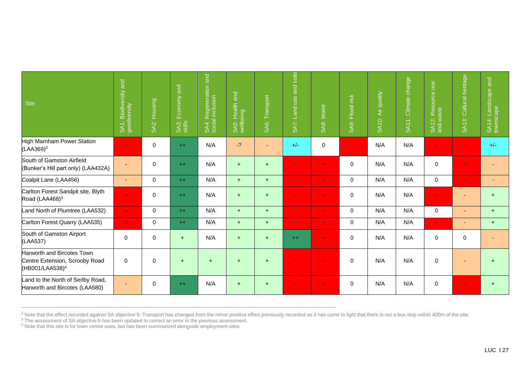| <b>Site</b>                                                                                 | SA1: Biodiversity and<br>geodiversity | SA2: Housing | Economy and<br>SA3: I | SA4: Regeneration and<br>social inclusion | and<br>lealth<br>eing<br>wellbe<br>زمنا<br>⋖<br>ശ് | Transport<br>SAG: | soils<br>Land use and<br>SA7: I | SA8: Water                | Flood risk<br>SA9: I | Air quality<br><b>SA10:</b> | SA11: Climate change | use<br>SA12: Resource u   | Cultural heritage<br><b>SA13:</b> | and<br>SA14: Landscape<br>townscape |
|---------------------------------------------------------------------------------------------|---------------------------------------|--------------|-----------------------|-------------------------------------------|----------------------------------------------------|-------------------|---------------------------------|---------------------------|----------------------|-----------------------------|----------------------|---------------------------|-----------------------------------|-------------------------------------|
| High Marnham Power Station<br>$(LAA369)^2$                                                  | $\sim$ $\sim$                         | $\mathsf 0$  | $++$                  | N/A                                       | $-2$                                               |                   | $+/-$                           | $\pmb{0}$                 | $\sim$ $\sim$        | N/A                         | N/A                  | $\mathbf{u}$              | $\mathbf{u}$                      | $+/-$                               |
| South of Gamston Airfield<br>(Bunker's Hill part only) (LAA432A)                            |                                       | $\mathbf 0$  | $++$                  | N/A                                       | $+$                                                | $+$               | $\sim$ $\sim$                   | $\mathbf{u} = \mathbf{v}$ | $\Omega$             | N/A                         | N/A                  | $\mathbf 0$               | $\overline{\phantom{a}}$          |                                     |
| Coalpit Lane (LAA456)                                                                       | ٠                                     | $\mathbf 0$  | $++$                  | N/A                                       | $+$                                                | $+$               | $\sim$ $\sim$                   | $\sim$ $\sim$             | $\mathbf 0$          | N/A                         | N/A                  | $\mathbf 0$               | $\mathbf{u}$                      | ٠                                   |
| Carlton Forest Sandpit site, Blyth<br>Road (LAA468) <sup>3</sup>                            | $\rightarrow$                         | $\mathbf 0$  | $++$                  | N/A                                       | $\ddot{}$                                          | $+$               | $\overline{\phantom{a}}$        | $\sim$ $\sim$             | $\mathbf 0$          | N/A                         | N/A                  | $\sim$ $\sim$             |                                   | $\ddot{}$                           |
| Land North of Plumtree (LAA532)                                                             | $\mathbf{u} = \mathbf{v}$             | $\mathbf 0$  | $++$                  | N/A                                       | $+$                                                | $+$               | $\overline{\phantom{a}}$        | $\sim$ $\sim$             | $\Omega$             | N/A                         | N/A                  | $\mathbf 0$               | ٠                                 | $+$                                 |
| Carlton Forest Quarry (LAA535)                                                              | $\sim$                                | $\mathbf 0$  | $++$                  | N/A                                       | $+$                                                | $+$               | $\overline{\phantom{a}}$        | $\sim$ $\sim$             | $\Omega$             | N/A                         | N/A                  | $\mathbf{u} = \mathbf{v}$ | ٠                                 | $+$                                 |
| South of Gamston Airport<br>(LAA537)                                                        | 0                                     | $\pmb{0}$    | $+$                   | N/A                                       | $+$                                                | $+$               | $^{++}$                         | $\sim$ $\sim$             | $\mathbf 0$          | N/A                         | N/A                  | $\mathbf 0$               | 0                                 |                                     |
| Harworth and Bircotes Town<br>Centre Extension, Scrooby Road<br>(HB001/LAA538) <sup>4</sup> | $\mathbf 0$                           | $\pmb{0}$    | $+$                   | $\div$                                    | $+$                                                | $+$               | ٠.                              | $\sim$ $\sim$             | $\mathbf 0$          | N/A                         | N/A                  | $\mathbf 0$               |                                   | $\div$                              |
| Land to the North of Serlby Road,<br>Harworth and Bircotes (LAA580)                         | ۰                                     | 0            | $++$                  | N/A                                       | $+$                                                | $+$               | ۵۵                              | $\sim$ $\sim$             | $\mathbf 0$          | N/A                         | N/A                  | $\mathbf 0$               | ۵۵                                | $\ddot{}$                           |

<sup>2</sup> Note that the effect recorded against SA objective 6: Transport has changed from the minor positive effect previously recorded as it has come to light that there is not a bus stop within 400m of the site.

 $3$  The assessment of SA objective 5 has been updated to correct an error in the previous assessment.

 $\_$  ,  $\_$  ,  $\_$  ,  $\_$  ,  $\_$  ,  $\_$  ,  $\_$  ,  $\_$  ,  $\_$  ,  $\_$  ,  $\_$  ,  $\_$  ,  $\_$  ,  $\_$  ,  $\_$  ,  $\_$  ,  $\_$  ,  $\_$  ,  $\_$  ,  $\_$  ,  $\_$  ,  $\_$  ,  $\_$  ,  $\_$  ,  $\_$  ,  $\_$  ,  $\_$  ,  $\_$  ,  $\_$  ,  $\_$  ,  $\_$  ,  $\_$  ,  $\_$  ,  $\_$  ,  $\_$  ,  $\_$  ,  $\_$  ,

<sup>4</sup> Note that this site is for town centre uses, but has been summarized alongside employment sites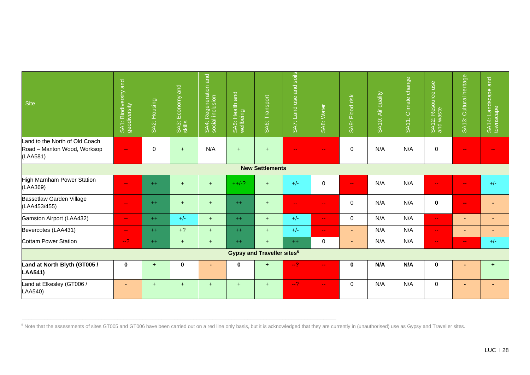| <b>Site</b>                                                               | SA1: Biodiversity and<br>geodiversity | SA2: Housing         | SA3: Economy and<br>skills | SA4: Regeneration and<br>social inclusion | $\overline{a}$<br>SA5: Health a | SA6: Transport                               | SA7: Land use and soils  | SA8: Water                | SA9: Flood risk          | SA10: Air quality | SA11: Climate change | SA12: Resource use<br>and waste | SA13: Cultural heritage     | and<br>SA14: Landscape<br>townscape |
|---------------------------------------------------------------------------|---------------------------------------|----------------------|----------------------------|-------------------------------------------|---------------------------------|----------------------------------------------|--------------------------|---------------------------|--------------------------|-------------------|----------------------|---------------------------------|-----------------------------|-------------------------------------|
| Land to the North of Old Coach<br>Road - Manton Wood, Worksop<br>(LAA581) | $\rightarrow$                         | $\pmb{0}$            | $+$                        | N/A                                       | $+$                             | $+$                                          | $\overline{\phantom{m}}$ | $\sim$ $\sim$             | $\mathbf 0$              | N/A               | N/A                  | $\mathbf 0$                     | $\rightarrow$ $\rightarrow$ |                                     |
|                                                                           |                                       |                      |                            |                                           |                                 | <b>New Settlements</b>                       |                          |                           |                          |                   |                      |                                 |                             |                                     |
| High Marnham Power Station<br>(LAA369)                                    | $\sim$ $\sim$                         | $++$                 | $+$                        | $+$                                       | $++/-?$                         | $+$                                          | $+/-$                    | $\mathbf 0$               | ۵.                       | N/A               | N/A                  | ٠.                              | ۵۵                          | $+/-$                               |
| Bassetlaw Garden Village<br>(LAA453/455)                                  | $\rightarrow$                         | $++$                 | $+$                        | $+$                                       | $++$                            | $+$                                          | $\overline{\phantom{m}}$ | $\sim$                    | $\mathbf{0}$             | N/A               | N/A                  | $\mathbf 0$                     | $\frac{1}{2}$               |                                     |
| Gamston Airport (LAA432)                                                  | $\sim$ $\sim$                         | $++$                 | $+/-$                      | $+$                                       | $++$                            | $+$                                          | $+/-$                    | $\mathbf{u} = \mathbf{v}$ | $\mathbf 0$              | N/A               | N/A                  | $\rightarrow$ $\rightarrow$     |                             | $\overline{\phantom{a}}$            |
| Bevercotes (LAA431)                                                       | $\sim$ $\sim$                         | $++$                 | $+?$                       | $+$                                       | $++$                            | $+$                                          | $+/-$                    | $\sim$ $\sim$             | ٠                        | N/A               | N/A                  | $\sim$                          | ٠                           | $\overline{\phantom{a}}$            |
| <b>Cottam Power Station</b>                                               | $-2$                                  | $++$                 | $+$                        | $+$                                       | $++$                            | $+$                                          | $++$                     | $\mathbf 0$               | $\overline{\phantom{a}}$ | N/A               | N/A                  | $\sim$ $\sim$                   | $\sim$ $\sim$               | $+/-$                               |
|                                                                           |                                       |                      |                            |                                           |                                 | <b>Gypsy and Traveller sites<sup>5</sup></b> |                          |                           |                          |                   |                      |                                 |                             |                                     |
| Land at North Blyth (GT005 /<br><b>LAA541)</b>                            | $\mathbf 0$                           | $\ddot{\phantom{1}}$ | 0                          |                                           | 0                               | ÷                                            | $-2$                     | $\sim$                    | $\bf{0}$                 | N/A               | N/A                  | $\mathbf 0$                     |                             | ٠                                   |
| Land at Elkesley (GT006 /<br>LAA540)                                      | $\blacksquare$                        | $+$                  | $+$                        | $+$                                       | $+$                             | $+$                                          | $-2$                     | $\sim$                    | $\mathbf{0}$             | N/A               | N/A                  | $\mathbf 0$                     |                             |                                     |

<sup>5</sup> Note that the assessments of sites GT005 and GT006 have been carried out on a red line only basis, but it is acknowledged that they are currently in (unauthorised) use as Gypsy and Traveller sites.

 $\_$  ,  $\_$  ,  $\_$  ,  $\_$  ,  $\_$  ,  $\_$  ,  $\_$  ,  $\_$  ,  $\_$  ,  $\_$  ,  $\_$  ,  $\_$  ,  $\_$  ,  $\_$  ,  $\_$  ,  $\_$  ,  $\_$  ,  $\_$  ,  $\_$  ,  $\_$  ,  $\_$  ,  $\_$  ,  $\_$  ,  $\_$  ,  $\_$  ,  $\_$  ,  $\_$  ,  $\_$  ,  $\_$  ,  $\_$  ,  $\_$  ,  $\_$  ,  $\_$  ,  $\_$  ,  $\_$  ,  $\_$  ,  $\_$  ,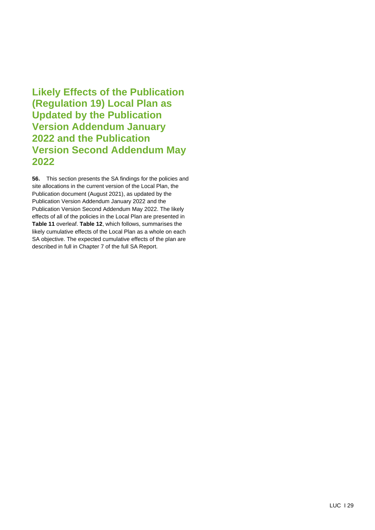**Likely Effects of the Publication (Regulation 19) Local Plan as Updated by the Publication Version Addendum January 2022 and the Publication Version Second Addendum May 2022**

**56.** This section presents the SA findings for the policies and site allocations in the current version of the Local Plan, the Publication document (August 2021), as updated by the Publication Version Addendum January 2022 and the Publication Version Second Addendum May 2022. The likely effects of all of the policies in the Local Plan are presented in **Table 11** overleaf. **Table 12**, which follows, summarises the likely cumulative effects of the Local Plan as a whole on each SA objective. The expected cumulative effects of the plan are described in full in Chapter 7 of the full SA Report.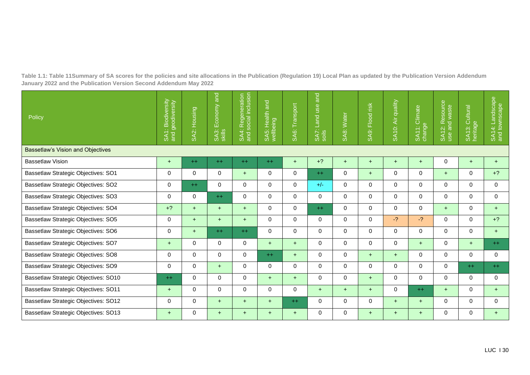**Table 1.1: Table 11Summary of SA scores for the policies and site allocations in the Publication (Regulation 19) Local Plan as updated by the Publication Version Addendum January 2022 and the Publication Version Second Addendum May 2022**

| Policy                                      | SA1: Biodiversity<br>and geodiversity | Housing<br>SA2: I | and<br>Economy<br>SA3:<br>skills | SA4: Regeneration<br>and social inclusion | and<br>SA5: Health<br>wellbeing | SA6: Transport | and<br>Land use<br>SA7:<br>soils | SA8: Water  | SA9: Flood risk | SA10: Air quality | Climate<br>SA11: C<br>change | 12: Resource<br>and waste<br>SA1:<br>use | SA13: Cultural<br>heritage | SA14: Landscape<br>and townscape |
|---------------------------------------------|---------------------------------------|-------------------|----------------------------------|-------------------------------------------|---------------------------------|----------------|----------------------------------|-------------|-----------------|-------------------|------------------------------|------------------------------------------|----------------------------|----------------------------------|
| <b>Bassetlaw's Vision and Objectives</b>    |                                       |                   |                                  |                                           |                                 |                |                                  |             |                 |                   |                              |                                          |                            |                                  |
| <b>Bassetlaw Vision</b>                     | $+$                                   | $++$              | $++$                             | $++$                                      | $++$                            | $+$            | $+?$                             | $+$         | $+$             | $+$               | $+$                          | $\mathbf 0$                              | $+$                        | $+$                              |
| Bassetlaw Strategic Objectives: SO1         | $\mathbf 0$                           | $\mathbf 0$       | $\mathbf 0$                      | $+$                                       | 0                               | $\mathbf 0$    | $++$                             | $\Omega$    | $+$             | $\Omega$          | $\Omega$                     | $+$                                      | $\Omega$                   | $+?$                             |
| Bassetlaw Strategic Objectives: SO2         | $\mathbf 0$                           | $++$              | $\mathbf 0$                      | $\mathbf 0$                               | 0                               | $\mathbf 0$    | $+/-$                            | $\Omega$    | $\Omega$        | $\mathbf 0$       | $\Omega$                     | $\Omega$                                 | $\Omega$                   | $\Omega$                         |
| Bassetlaw Strategic Objectives: SO3         | $\mathbf 0$                           | 0                 | $++$                             | $\mathbf 0$                               | 0                               | 0              | $\Omega$                         | $\Omega$    | $\Omega$        | $\Omega$          | $\Omega$                     | $\Omega$                                 | $\Omega$                   | $\Omega$                         |
| Bassetlaw Strategic Objectives: SO4         | $+?$                                  | $+$               | $+$                              | $+$                                       | 0                               | 0              | $++$                             | $\mathbf 0$ | 0               | $\mathbf 0$       | $\mathbf{0}$                 | $+$                                      | 0                          | $+$                              |
| Bassetlaw Strategic Objectives: SO5         | $\mathbf 0$                           | $+$               | $+$                              | $+$                                       | 0                               | $\Omega$       | $\Omega$                         | $\Omega$    | $\Omega$        | $-2$              | $-2$                         | $\Omega$                                 | $\Omega$                   | $+?$                             |
| Bassetlaw Strategic Objectives: SO6         | $\mathbf 0$                           | $+$               | $++$                             | $++$                                      | 0                               | $\mathbf 0$    | $\Omega$                         | $\Omega$    | $\Omega$        | $\mathbf 0$       | $\Omega$                     | $\Omega$                                 | $\Omega$                   | $+$                              |
| Bassetlaw Strategic Objectives: SO7         | $+$                                   | $\mathbf 0$       | $\mathbf 0$                      | $\mathbf 0$                               | $+$                             | $+$            | $\Omega$                         | $\Omega$    | $\Omega$        | $\mathbf 0$       | $+$                          | $\Omega$                                 | $+$                        | $++$                             |
| Bassetlaw Strategic Objectives: SO8         | $\Omega$                              | $\mathbf 0$       | $\mathbf 0$                      | $\mathbf 0$                               | $++$                            | $+$            | $\Omega$                         | $\Omega$    | $+$             | $+$               | $\Omega$                     | $\Omega$                                 | $\Omega$                   | 0                                |
| Bassetlaw Strategic Objectives: SO9         | $\Omega$                              | $\Omega$          | $+$                              | $\Omega$                                  | $\Omega$                        | $\Omega$       | $\Omega$                         | $\Omega$    | $\Omega$        | $\Omega$          | $\Omega$                     | $\Omega$                                 | $++$                       | $++$                             |
| Bassetlaw Strategic Objectives: SO10        | $++$                                  | 0                 | $\mathbf 0$                      | $\mathbf 0$                               | $+$                             | $+$            | $\Omega$                         | $\Omega$    | $+$             | $\Omega$          | $\Omega$                     | $\Omega$                                 | $\Omega$                   | $\Omega$                         |
| Bassetlaw Strategic Objectives: SO11        | $+$                                   | $\mathbf 0$       | 0                                | 0                                         | 0                               | $\mathbf 0$    | $+$                              | $+$         | $+$             | $\Omega$          | $++$                         | $+$                                      | $\Omega$                   | $+$                              |
| <b>Bassetlaw Strategic Objectives: SO12</b> | $\Omega$                              | $\Omega$          | $+$                              | $+$                                       | $+$                             | $++$           | $\Omega$                         | $\Omega$    | $\Omega$        | $+$               | $+$                          | $\Omega$                                 | $\Omega$                   | $\Omega$                         |
| Bassetlaw Strategic Objectives: SO13        | $+$                                   | $\mathbf 0$       | $+$                              | $+$                                       | $+$                             | $+$            | $\Omega$                         | $\Omega$    | $+$             | $+$               | $+$                          | $\Omega$                                 | 0                          | $+$                              |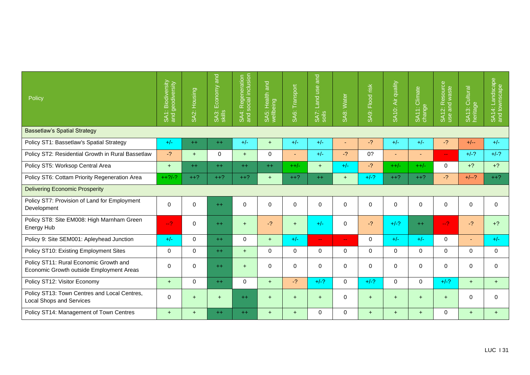| Policy                                                                             | SA1: Biodiversity<br>and geodiversity | SA2: Housing | and<br>Economy<br>SA3:<br>skills | Regeneration<br>social inclusion<br>SA4: I | $\overline{ad}$<br>SA5: Health<br>wellbeing | Transport<br>SA <sub>6</sub> : | and<br>Land use<br>SA7:<br>soils | SA8: Water    | Flood risk<br>SA9: | SA10: Air quality | Climate<br>SA11: C | SA12: Resource<br>use and waste | SA13: Cultural<br>heritage | SA14: Landscape<br>and townscape |
|------------------------------------------------------------------------------------|---------------------------------------|--------------|----------------------------------|--------------------------------------------|---------------------------------------------|--------------------------------|----------------------------------|---------------|--------------------|-------------------|--------------------|---------------------------------|----------------------------|----------------------------------|
| <b>Bassetlaw's Spatial Strategy</b>                                                |                                       |              |                                  |                                            |                                             |                                |                                  |               |                    |                   |                    |                                 |                            |                                  |
| Policy ST1: Bassetlaw's Spatial Strategy                                           | $+/-$                                 | $++$         | $++$                             | $+/-$                                      | $+$                                         | $+/-$                          | $+/-$                            |               | $-2$               | $+/-$             | $+/-$              | $-2$                            | $+/--$                     | $+/-$                            |
| Policy ST2: Residential Growth in Rural Bassetlaw                                  | $-2$                                  | $+$          | 0                                | $+$                                        | 0                                           | ٠                              | $+/-$                            | $-2$          | 0?                 | $\blacksquare$    | $\sim$             | $\mathbf{u} = \mathbf{v}$       | $+/-?$                     | $+/-?$                           |
| Policy ST5: Worksop Central Area                                                   | $+$                                   | $++$         | $++$                             | $++$                                       | $++$                                        | $++/-$                         | $+$                              | $+/-$         | $-2$               | $++/-$            | $++/-$             | $\Omega$                        | $+?$                       | $+?$                             |
| Policy ST6: Cottam Priority Regeneration Area                                      | $++?/-?$                              | $++?$        | $++?$                            | $++?$                                      | $+$                                         | $++?$                          | $++$                             | $+$           | $+/-?$             | $++?$             | $++?$              | $-2$                            | $+/-?$                     | $++?$                            |
| <b>Delivering Economic Prosperity</b>                                              |                                       |              |                                  |                                            |                                             |                                |                                  |               |                    |                   |                    |                                 |                            |                                  |
| Policy ST7: Provision of Land for Employment<br>Development                        | 0                                     | $\pmb{0}$    | $++$                             | $\mathbf 0$                                | 0                                           | $\Omega$                       | $\Omega$                         | $\Omega$      | $\mathbf 0$        | $\mathbf 0$       | $\Omega$           | $\Omega$                        | 0                          | $\Omega$                         |
| Policy ST8: Site EM008: High Marnham Green<br><b>Energy Hub</b>                    | $-2$                                  | $\mathbf 0$  | $++$                             | $+$                                        | $-2$                                        | $+$                            | $+/-$                            | $\Omega$      | $-2$               | $+/-?$            | $++$               | $-2$                            | $-2$                       | $+?$                             |
| Policy 9: Site SEM001: Apleyhead Junction                                          | $+/-$                                 | $\mathbf 0$  | $++$                             | $\mathbf 0$                                | $+$                                         | $+/-$                          | $\mathbf{u} = \mathbf{v}$        | $\sim$ $\sim$ | $\Omega$           | $+/-$             | $+/-$              | $\Omega$                        | ٠                          | $+/-$                            |
| Policy ST10: Existing Employment Sites                                             | 0                                     | $\mathbf 0$  | $++$                             | $+$                                        | 0                                           | $\mathbf{0}$                   | $\Omega$                         | $\Omega$      | $\Omega$           | $\Omega$          | $\mathbf{0}$       | $\Omega$                        | 0                          | $\Omega$                         |
| Policy ST11: Rural Economic Growth and<br>Economic Growth outside Employment Areas | $\Omega$                              | $\mathbf 0$  | $++$                             | $+$                                        | 0                                           | $\mathbf{0}$                   | 0                                | $\Omega$      | $\Omega$           | $\Omega$          | $\Omega$           | $\Omega$                        | 0                          | $\Omega$                         |
| Policy ST12: Visitor Economy                                                       | $+$                                   | $\mathbf 0$  | $++$                             | $\mathbf 0$                                | $+$                                         | $-2$                           | $+/-?$                           | $\Omega$      | $+/-?$             | $\Omega$          | $\Omega$           | $+/-?$                          | $+$                        | $+$                              |
| Policy ST13: Town Centres and Local Centres,<br><b>Local Shops and Services</b>    | 0                                     | $+$          | $\ddot{}$                        | $++$                                       | $\ddot{}$                                   | $+$                            | $+$                              | $\mathbf 0$   | $\ddot{}$          | $+$               | $\ddot{}$          | $+$                             | 0                          | $\Omega$                         |
| Policy ST14: Management of Town Centres                                            | $+$                                   | $+$          | $++$                             | $++$                                       | $+$                                         | $+$                            | 0                                | $\Omega$      | $+$                | $+$               | $+$                | $\Omega$                        | $+$                        | $+$                              |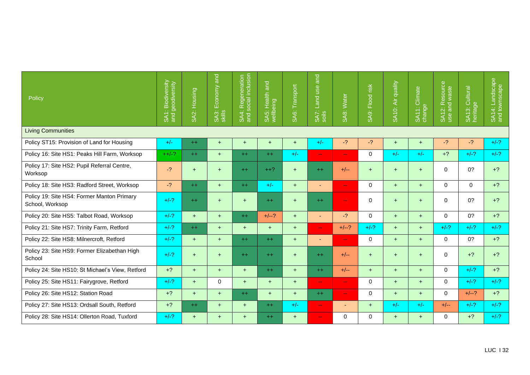| Policy                                                        | SA1: Biodiversity | SA2: Housing | $\overline{a}$<br>Economy<br>SA3:<br>skills | SA4: Regeneration<br>and social inclusion | q <br>Health<br>wellbeing<br>SA5: | Transport<br>SA <sub>6:</sub> | and<br>Land use<br>SA7:<br>soils | SA8: Water                  | Flood risk<br>SA9: | SA10: Air quality | Climate<br>SA11: C | Resource<br>and waste<br><b>SA12:1</b><br>use | SA13: Cultural<br>heritage | SA14: Landscape<br>and townscape |
|---------------------------------------------------------------|-------------------|--------------|---------------------------------------------|-------------------------------------------|-----------------------------------|-------------------------------|----------------------------------|-----------------------------|--------------------|-------------------|--------------------|-----------------------------------------------|----------------------------|----------------------------------|
| <b>Living Communities</b>                                     |                   |              |                                             |                                           |                                   |                               |                                  |                             |                    |                   |                    |                                               |                            |                                  |
| Policy ST15: Provision of Land for Housing                    | $+/-$             | $++$         | $+$                                         | $+$                                       | $\ddot{}$                         | $+$                           | $+/-$                            | $-2$                        | $-2$               | $+$               | $+$                | $-2$                                          | $-2$                       | $+/-?$                           |
| Policy 16: Site HS1: Peaks Hill Farm, Worksop                 | $++/-?$           | $++$         | $+$                                         | $++$                                      | $++$                              | $+/-$                         | $- -$                            | $\rightarrow$               | $\mathbf 0$        | $+/-$             | $+/-$              | $+?$                                          | $+/-?$                     | $+/-?$                           |
| Policy 17: Site HS2: Pupil Referral Centre,<br>Worksop        | $-2$              | $\ddot{}$    | $\ddot{}$                                   | $++$                                      | $++?$                             | $+$                           | $++$                             | $+/--$                      | $+$                | $\ddot{}$         | $+$                | $\Omega$                                      | 0?                         | $+2$                             |
| Policy 18: Site HS3: Radford Street, Worksop                  | $-2$              | $++$         | $+$                                         | $++$                                      | $+/-$                             | $+$                           |                                  | $\sim$ $\sim$               | $\Omega$           | $+$               | $+$                | 0                                             | $\Omega$                   | $+?$                             |
| Policy 19: Site HS4: Former Manton Primary<br>School, Worksop | $+/-?$            | $++$         | $+$                                         | $+$                                       | $++$                              | $+$                           | $++$                             | $\sim$ $\sim$               | $\mathbf 0$        | $\ddot{}$         | $+$                | $\mathbf 0$                                   | 0?                         | $+?$                             |
| Policy 20: Site HS5: Talbot Road, Worksop                     | $+/-?$            | $+$          | $+$                                         | $++$                                      | $+/-?$                            | $+$                           |                                  | $-2$                        | $\mathbf 0$        | $+$               | $+$                | $\Omega$                                      | 0?                         | $+?$                             |
| Policy 21: Site HS7: Trinity Farm, Retford                    | $+/-?$            | $++$         | $+$                                         | $+$                                       | $+$                               | $+$                           | $\sim$ $\sim$                    | $+/-?$                      | $+/-?$             | $+$               | $+$                | $+/-?$                                        | $+/-?$                     | $+/-?$                           |
| Policy 22: Site HS8: Milnercroft, Retford                     | $+/-?$            | $+$          | $+$                                         | $++$                                      | $++$                              | $+$                           |                                  | $\rightarrow$               | $\mathbf 0$        | $+$               | $+$                | $\Omega$                                      | 0?                         | $+?$                             |
| Policy 23: Site HS9: Former Elizabethan High<br>School        | $+/-?$            | $+$          | $\ddot{}$                                   | $++$                                      | $++$                              | $+$                           | $++$                             | $+/--$                      | $+$                | $\ddot{}$         | $+$                | $\Omega$                                      | $+2$                       | $+?$                             |
| Policy 24: Site HS10: St Michael's View, Retford              | $+?$              | $+$          | $+$                                         | $+$                                       | $++$                              | $+$                           | $++$                             | $+/--$                      | $+$                | $+$               | $+$                | $\Omega$                                      | $+/-?$                     | $+?$                             |
| Policy 25: Site HS11: Fairygrove, Retford                     | $+/-?$            | $+$          | 0                                           | $+$                                       | $+$                               | $+$                           | $-1$                             | $\rightarrow$ $\rightarrow$ | $\mathbf 0$        | $+$               | $+$                | $\Omega$                                      | $+/-?$                     | $+/-?$                           |
| Policy 26: Site HS12: Station Road                            | $+?$              | $+$          | $+$                                         | $++$                                      | $+$                               | $+$                           | $++$                             | $\rightarrow$               | $\mathbf 0$        | $+$               | $+$                | $\Omega$                                      | $+/-?$                     | $+?$                             |
| Policy 27: Site HS13: Ordsall South, Retford                  | $+?$              | $++$         | $+$                                         | $+$                                       | $++$                              | $+/-$                         | $\qquad \qquad \blacksquare$     |                             | $+$                | $+/-$             | $+/-$              | $+/--$                                        | $+/-?$                     | $+/-?$                           |
| Policy 28: Site HS14: Ollerton Road, Tuxford                  | $+/-?$            | $+$          | $+$                                         | $+$                                       | $++$                              | $+$                           | $-1$                             | $\Omega$                    | $\Omega$           | $+$               | $+$                | $\Omega$                                      | $+2$                       | $+/-?$                           |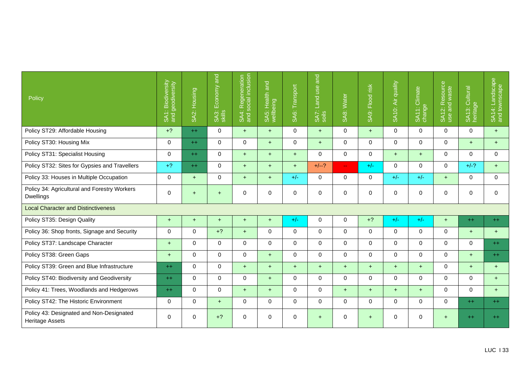| Policy                                                             | SA1: Biodiversity<br>and geodiversity | SA2: Housing | and<br>Economy<br>SA3:<br>skills | SA4: Regeneration<br>and social inclusion | SA5: Health and<br>wellbeing | Transport<br>SA <sub>6</sub> : | and<br>Land use<br>SA7:<br>soils | SA8: Water  | Flood risk<br>SA <sub>9:</sub> | SA10: Air quality | SA11: Climate | SA12: Resource<br>use and waste | Cultural<br>SA13: Cu | SA14: Landscape<br>and townscape |
|--------------------------------------------------------------------|---------------------------------------|--------------|----------------------------------|-------------------------------------------|------------------------------|--------------------------------|----------------------------------|-------------|--------------------------------|-------------------|---------------|---------------------------------|----------------------|----------------------------------|
| Policy ST29: Affordable Housing                                    | $+?$                                  | $++$         | $\Omega$                         | $+$                                       | $+$                          | $\Omega$                       | $+$                              | $\Omega$    | $+$                            | $\Omega$          | $\Omega$      | $\Omega$                        | $\Omega$             | $+$                              |
| Policy ST30: Housing Mix                                           | $\mathbf 0$                           | $++$         | $\mathbf 0$                      | 0                                         | $+$                          | 0                              | $+$                              | $\mathbf 0$ | $\mathbf 0$                    | $\Omega$          | $\Omega$      | $\Omega$                        | $+$                  | $+$                              |
| Policy ST31: Specialist Housing                                    | $\mathbf 0$                           | $++$         | 0                                | $+$                                       | $+$                          | $+$                            | $\mathbf 0$                      | $\mathbf 0$ | $\Omega$                       | $+$               | $+$           | $\Omega$                        | $\Omega$             | $\mathbf 0$                      |
| Policy ST32: Sites for Gypsies and Travellers                      | $+2$                                  | $++$         | $\mathbf 0$                      | $+$                                       | $+$                          | $+$                            | $+/-?$                           | $\perp$ .   | $+/-$                          | $\Omega$          | $\Omega$      | $\Omega$                        | $+/-?$               | $+$                              |
| Policy 33: Houses in Multiple Occupation                           | $\mathbf 0$                           | $+$          | 0                                | $+$                                       | $+$                          | $+/-$                          | $\mathbf 0$                      | $\mathbf 0$ | $\mathbf 0$                    | $+/-$             | $+/-$         | $+$                             | $\mathbf 0$          | $\mathbf 0$                      |
| Policy 34: Agricultural and Forestry Workers<br>Dwellings          | $\mathbf 0$                           | $+$          | $+$                              | 0                                         | 0                            | $\mathbf 0$                    | $\mathbf 0$                      | $\mathbf 0$ | $\mathbf 0$                    | $\mathbf 0$       | 0             | $\Omega$                        | $\Omega$             | $\mathbf 0$                      |
| <b>Local Character and Distinctiveness</b>                         |                                       |              |                                  |                                           |                              |                                |                                  |             |                                |                   |               |                                 |                      |                                  |
| Policy ST35: Design Quality                                        | $+$                                   | $+$          | $\ddot{}$                        | $\ddot{}$                                 | $+$                          | $+/-$                          | $\mathbf 0$                      | $\mathbf 0$ | $+?$                           | $+/-$             | $+/-$         | $+$                             | $++$                 | $++$                             |
| Policy 36: Shop fronts, Signage and Security                       | $\mathbf 0$                           | $\mathbf 0$  | $+?$                             | $+$                                       | 0                            | $\Omega$                       | $\mathbf{0}$                     | $\Omega$    | $\Omega$                       | $\Omega$          | $\Omega$      | $\Omega$                        | $+$                  | $+$                              |
| Policy ST37: Landscape Character                                   | $+$                                   | $\mathbf 0$  | 0                                | $\mathbf 0$                               | 0                            | $\mathbf 0$                    | $\mathbf 0$                      | $\mathbf 0$ | $\mathbf 0$                    | $\mathbf 0$       | 0             | $\mathbf 0$                     | $\mathbf 0$          | $++$                             |
| Policy ST38: Green Gaps                                            | $+$                                   | $\Omega$     | $\mathbf 0$                      | $\Omega$                                  | $+$                          | $\Omega$                       | $\mathbf{0}$                     | $\Omega$    | $\Omega$                       | $\Omega$          | $\Omega$      | $\Omega$                        | $+$                  | $++$                             |
| Policy ST39: Green and Blue Infrastructure                         | $++$                                  | $\mathbf 0$  | 0                                | $+$                                       | $+$                          | $+$                            | $+$                              | $+$         | $+$                            | $+$               | $+$           | $\Omega$                        | $+$                  | $+$                              |
| Policy ST40: Biodiversity and Geodiversity                         | $^{++}$                               | $\mathbf 0$  | $\mathbf 0$                      | 0                                         | $+$                          | $\Omega$                       | $\mathbf{0}$                     | $\Omega$    | $\mathbf 0$                    | $\Omega$          | $\Omega$      | $\Omega$                        | $\Omega$             | $+$                              |
| Policy 41: Trees, Woodlands and Hedgerows                          | $++$                                  | $\mathbf 0$  | $\mathbf 0$                      | $+$                                       | $+$                          | $\Omega$                       | $\Omega$                         | $+$         | $+$                            | $+$               | $+$           | $\Omega$                        | $\Omega$             | $+$                              |
| Policy ST42: The Historic Environment                              | $\Omega$                              | $\mathbf 0$  | $+$                              | $\Omega$                                  | $\Omega$                     | $\Omega$                       | $\Omega$                         | $\Omega$    | $\Omega$                       | $\Omega$          | $\Omega$      | $\Omega$                        | $++$                 | $++$                             |
| Policy 43: Designated and Non-Designated<br><b>Heritage Assets</b> | $\mathbf 0$                           | $\mathbf 0$  | $+?$                             | $\mathbf 0$                               | 0                            | $\mathbf 0$                    | $+$                              | $\mathbf 0$ | $+$                            | $\mathbf 0$       | 0             | $+$                             | $++$                 | $++$                             |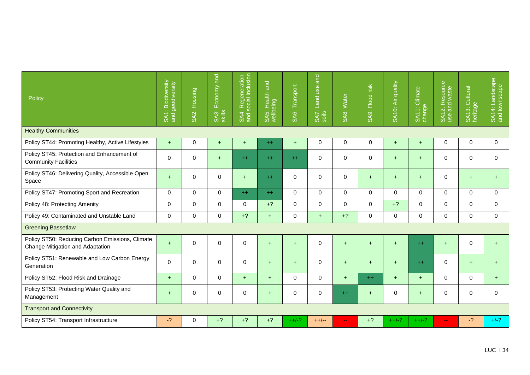| Policy                                                                              | SA1: Biodiversity | SA2: Housing | Economy and<br>SA3:<br>skills | Regeneration<br>social inclusion<br>SA4: I | SA5: Health and<br>wellbeing | SA6: Transport | and<br>Land use<br>SA7:<br>soils | SA8: Water               | SA9: Flood risk | SA10: Air quality | Climate<br>SATI: C | SA12: Resource<br>use and waste | SA13: Cultural<br>heritage | SA14: Landscape<br>and townscape |
|-------------------------------------------------------------------------------------|-------------------|--------------|-------------------------------|--------------------------------------------|------------------------------|----------------|----------------------------------|--------------------------|-----------------|-------------------|--------------------|---------------------------------|----------------------------|----------------------------------|
| <b>Healthy Communities</b>                                                          |                   |              |                               |                                            |                              |                |                                  |                          |                 |                   |                    |                                 |                            |                                  |
| Policy ST44: Promoting Healthy, Active Lifestyles                                   | $+$               | 0            | $+$                           | $+$                                        | $++$                         | $+$            | $\mathbf 0$                      | $\mathbf 0$              | $\mathbf 0$     | $+$               | $+$                | $\mathbf 0$                     | $\mathbf 0$                | $\Omega$                         |
| Policy ST45: Protection and Enhancement of<br><b>Community Facilities</b>           | $\mathbf 0$       | 0            | $+$                           | $++$                                       | $++$                         | $++$           | $\Omega$                         | $\Omega$                 | $\mathbf 0$     | $+$               | $+$                | $\Omega$                        | $\Omega$                   | $\Omega$                         |
| Policy ST46: Delivering Quality, Accessible Open<br>Space                           | $+$               | $\mathbf 0$  | $\mathbf 0$                   | $+$                                        | $++$                         | $\Omega$       | $\Omega$                         | $\Omega$                 | $+$             | $+$               | $+$                | $\Omega$                        | $+$                        | $+$                              |
| Policy ST47: Promoting Sport and Recreation                                         | $\mathbf 0$       | $\mathbf 0$  | $\mathbf 0$                   | $++$                                       | $++$                         | $\Omega$       | $\Omega$                         | $\Omega$                 | $\Omega$        | $\Omega$          | $\Omega$           | $\Omega$                        | $\Omega$                   | $\Omega$                         |
| Policy 48: Protecting Amenity                                                       | $\mathbf 0$       | $\mathbf 0$  | 0                             | $\mathbf 0$                                | $+?$                         | $\mathbf 0$    | $\Omega$                         | $\Omega$                 | $\Omega$        | $+?$              | $\Omega$           | $\Omega$                        | $\Omega$                   | $\Omega$                         |
| Policy 49: Contaminated and Unstable Land                                           | $\mathbf 0$       | $\mathbf 0$  | 0                             | $+?$                                       | $+$                          | $\mathbf 0$    | $+$                              | $+?$                     | $\Omega$        | $\mathbf 0$       | $\mathbf 0$        | $\mathbf 0$                     | $\Omega$                   | $\mathbf 0$                      |
| <b>Greening Bassetlaw</b>                                                           |                   |              |                               |                                            |                              |                |                                  |                          |                 |                   |                    |                                 |                            |                                  |
| Policy ST50: Reducing Carbon Emissions, Climate<br>Change Mitigation and Adaptation | $+$               | $\mathbf 0$  | $\mathbf 0$                   | $\mathbf 0$                                | $+$                          | $+$            | $\Omega$                         | $+$                      | $+$             | $+$               | $++$               | $+$                             | $\Omega$                   | $+$                              |
| Policy ST51: Renewable and Low Carbon Energy<br>Generation                          | $\Omega$          | $\mathbf 0$  | $\mathbf 0$                   | $\mathbf 0$                                | $+$                          | $+$            | $\mathbf 0$                      | $+$                      | $+$             | $+$               | $++$               | $\Omega$                        | $+$                        | $\ddot{}$                        |
| Policy ST52: Flood Risk and Drainage                                                | $+$               | 0            | $\mathbf 0$                   | $+$                                        | $+$                          | $\mathbf 0$    | $\mathbf 0$                      | $+$                      | $++$            | $+$               | $+$                | $\mathbf 0$                     | $\mathbf 0$                | $+$                              |
| Policy ST53: Protecting Water Quality and<br>Management                             | $\ddot{}$         | $\mathbf 0$  | 0                             | $\mathbf 0$                                | $+$                          | 0              | $\mathbf 0$                      | $++$                     | $+$             | 0                 | $+$                | 0                               | $\Omega$                   | $\Omega$                         |
| <b>Transport and Connectivity</b>                                                   |                   |              |                               |                                            |                              |                |                                  |                          |                 |                   |                    |                                 |                            |                                  |
| Policy ST54: Transport Infrastructure                                               | $-2$              | $\mathbf 0$  | $+?$                          | $+?$                                       | $+?$                         | $++/-?$        | $++/--$                          | $\overline{\phantom{m}}$ | $+?$            | $++/-?$           | $++/-?$            | $\overline{\phantom{m}}$        | $-2$                       | $+/-?$                           |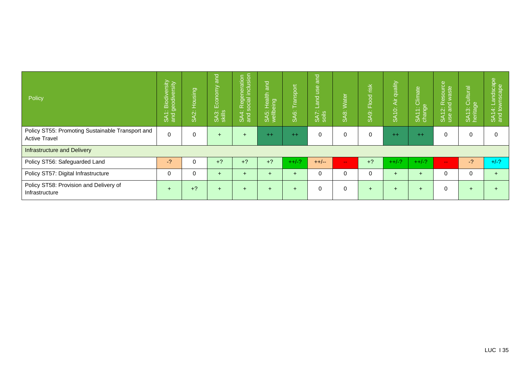| Policy                                                                   | : Biodiversity<br>geodiversity<br>Due<br>9<br>SAT | Housing<br>SA2: | and<br>onomy<br>읍<br>SA3:<br>skills | 1: Regeneration<br>I social inclusion<br>SA4:<br>and s | $ $ and<br>Health<br>eing<br>SA5:<br>wellbe | Transport<br>SA <sub>6</sub> : | $\overline{a}$<br><b>esu</b><br>$\overline{\text{rad}}$<br>SA7:<br>soils | <b>Water</b><br>ġβ<br>σõ | $\frac{1}{2}$<br>Flood<br>SA <sub>9</sub> : | Air quality<br><b>SA10:</b> | Climate<br>10,000<br>ಾ<br>$\overline{\phantom{0}}$<br>SAT<br>cha | $\Phi$<br>annose<br>ste<br>ത<br>Ĕσ<br>$\ddot{\alpha}$ $\ddot{\overline{6}}$<br>SA <sub>1</sub> | SA13: Cultural<br>heritage | 14: Landscape<br>I townscape<br><b>SAT</b><br>and |
|--------------------------------------------------------------------------|---------------------------------------------------|-----------------|-------------------------------------|--------------------------------------------------------|---------------------------------------------|--------------------------------|--------------------------------------------------------------------------|--------------------------|---------------------------------------------|-----------------------------|------------------------------------------------------------------|------------------------------------------------------------------------------------------------|----------------------------|---------------------------------------------------|
| Policy ST55: Promoting Sustainable Transport and<br><b>Active Travel</b> | $\mathbf 0$                                       | 0               | $+$                                 | $+$                                                    | $++$                                        | $++$                           | $\Omega$                                                                 | $\Omega$                 | 0                                           | $++$                        | $++$                                                             | 0                                                                                              |                            | $\Omega$                                          |
| <b>Infrastructure and Delivery</b>                                       |                                                   |                 |                                     |                                                        |                                             |                                |                                                                          |                          |                                             |                             |                                                                  |                                                                                                |                            |                                                   |
| Policy ST56: Safeguarded Land                                            | $-2$                                              | 0               | $+?$                                | $+?$                                                   | $+2$                                        | $++/-?$                        | $++/--$                                                                  | $\sim$ $\sim$            | $+?$                                        | $++/-?$                     | $++/-?$                                                          | $-1$                                                                                           | $-2$                       | $+/-?$                                            |
| Policy ST57: Digital Infrastructure                                      | $\Omega$                                          | 0               | $\ddot{}$                           | $+$                                                    | $\div$                                      | $+$                            | $\Omega$                                                                 | $\Omega$                 | 0                                           | $\ddot{}$                   | $\div$                                                           | 0                                                                                              | 0                          | $+$                                               |
| Policy ST58: Provision and Delivery of<br>Infrastructure                 | $\overline{ }$                                    | $+?$            | $+$                                 | $+$                                                    | $\div$                                      | $+$                            | 0                                                                        | $\Omega$                 | $+$                                         | $\div$                      | $\div$                                                           |                                                                                                |                            |                                                   |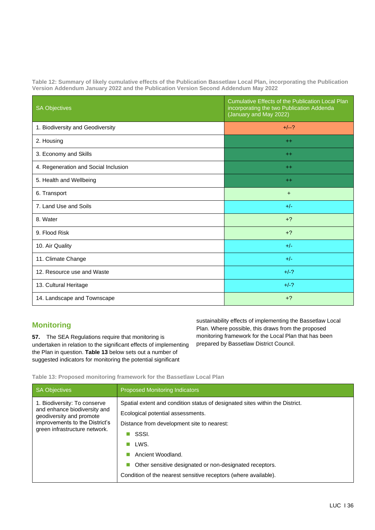**Table 12: Summary of likely cumulative effects of the Publication Bassetlaw Local Plan, incorporating the Publication Version Addendum January 2022 and the Publication Version Second Addendum May 2022**

| <b>SA Objectives</b>                 | Cumulative Effects of the Publication Local Plan<br>incorporating the two Publication Addenda<br>(January and May 2022) |
|--------------------------------------|-------------------------------------------------------------------------------------------------------------------------|
| 1. Biodiversity and Geodiversity     | $+/--?$                                                                                                                 |
| 2. Housing                           | $+$                                                                                                                     |
| 3. Economy and Skills                | $++$                                                                                                                    |
| 4. Regeneration and Social Inclusion | $+$                                                                                                                     |
| 5. Health and Wellbeing              | $+$                                                                                                                     |
| 6. Transport                         | $+$                                                                                                                     |
| 7. Land Use and Soils                | $+/-$                                                                                                                   |
| 8. Water                             | $+2$                                                                                                                    |
| 9. Flood Risk                        | $+?$                                                                                                                    |
| 10. Air Quality                      | $+/-$                                                                                                                   |
| 11. Climate Change                   | $+/-$                                                                                                                   |
| 12. Resource use and Waste           | $+/-?$                                                                                                                  |
| 13. Cultural Heritage                | $+/-?$                                                                                                                  |
| 14. Landscape and Townscape          | $+?$                                                                                                                    |

# **Monitoring**

**57.** The SEA Regulations require that monitoring is undertaken in relation to the significant effects of implementing the Plan in question. **Table 13** below sets out a number of suggested indicators for monitoring the potential significant

sustainability effects of implementing the Bassetlaw Local Plan. Where possible, this draws from the proposed monitoring framework for the Local Plan that has been prepared by Bassetlaw District Council.

**Table 13: Proposed monitoring framework for the Bassetlaw Local Plan**

| <b>SA Objectives</b>                                                                                                                                        | <b>Proposed Monitoring Indicators</b>                                                                                                                                                                                                                                                                                               |
|-------------------------------------------------------------------------------------------------------------------------------------------------------------|-------------------------------------------------------------------------------------------------------------------------------------------------------------------------------------------------------------------------------------------------------------------------------------------------------------------------------------|
| 1. Biodiversity: To conserve<br>and enhance biodiversity and<br>geodiversity and promote<br>improvements to the District's<br>green infrastructure network. | Spatial extent and condition status of designated sites within the District.<br>Ecological potential assessments.<br>Distance from development site to nearest:<br>SSSI.<br>LWS.<br>Ancient Woodland.<br>Other sensitive designated or non-designated receptors.<br>Condition of the nearest sensitive receptors (where available). |
|                                                                                                                                                             |                                                                                                                                                                                                                                                                                                                                     |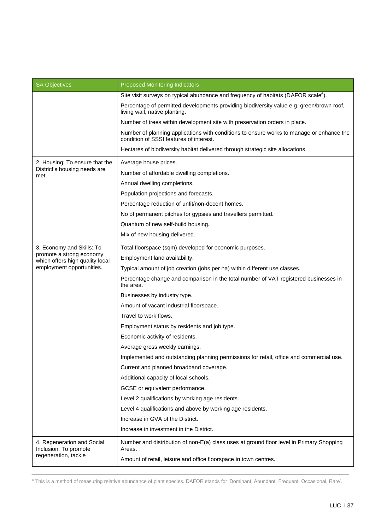| <b>SA Objectives</b>                                                        | <b>Proposed Monitoring Indicators</b>                                                                                               |
|-----------------------------------------------------------------------------|-------------------------------------------------------------------------------------------------------------------------------------|
|                                                                             | Site visit surveys on typical abundance and frequency of habitats (DAFOR scale <sup>6</sup> ).                                      |
|                                                                             | Percentage of permitted developments providing biodiversity value e.g. green/brown roof,<br>living wall, native planting.           |
|                                                                             | Number of trees within development site with preservation orders in place.                                                          |
|                                                                             | Number of planning applications with conditions to ensure works to manage or enhance the<br>condition of SSSI features of interest. |
|                                                                             | Hectares of biodiversity habitat delivered through strategic site allocations.                                                      |
| 2. Housing: To ensure that the                                              | Average house prices.                                                                                                               |
| District's housing needs are<br>met.                                        | Number of affordable dwelling completions.                                                                                          |
|                                                                             | Annual dwelling completions.                                                                                                        |
|                                                                             | Population projections and forecasts.                                                                                               |
|                                                                             | Percentage reduction of unfit/non-decent homes.                                                                                     |
|                                                                             | No of permanent pitches for gypsies and travellers permitted.                                                                       |
|                                                                             | Quantum of new self-build housing.                                                                                                  |
|                                                                             | Mix of new housing delivered.                                                                                                       |
| 3. Economy and Skills: To                                                   | Total floorspace (sqm) developed for economic purposes.                                                                             |
| promote a strong economy<br>which offers high quality local                 | Employment land availability.                                                                                                       |
| employment opportunities.                                                   | Typical amount of job creation (jobs per ha) within different use classes.                                                          |
|                                                                             | Percentage change and comparison in the total number of VAT registered businesses in<br>the area.                                   |
|                                                                             | Businesses by industry type.                                                                                                        |
|                                                                             | Amount of vacant industrial floorspace.                                                                                             |
|                                                                             | Travel to work flows.                                                                                                               |
|                                                                             | Employment status by residents and job type.                                                                                        |
|                                                                             | Economic activity of residents.                                                                                                     |
|                                                                             | Average gross weekly earnings.                                                                                                      |
|                                                                             | Implemented and outstanding planning permissions for retail, office and commercial use.                                             |
|                                                                             | Current and planned broadband coverage.                                                                                             |
|                                                                             | Additional capacity of local schools.                                                                                               |
|                                                                             | GCSE or equivalent performance.                                                                                                     |
|                                                                             | Level 2 qualifications by working age residents.                                                                                    |
|                                                                             | Level 4 qualifications and above by working age residents.                                                                          |
|                                                                             | Increase in GVA of the District.                                                                                                    |
|                                                                             | Increase in investment in the District.                                                                                             |
| 4. Regeneration and Social<br>Inclusion: To promote<br>regeneration, tackle | Number and distribution of non-E(a) class uses at ground floor level in Primary Shopping<br>Areas.                                  |
|                                                                             | Amount of retail, leisure and office floorspace in town centres.                                                                    |

<sup>&</sup>lt;sup>6</sup> This is a method of measuring relative abundance of plant species. DAFOR stands for 'Dominant, Abundant, Frequent, Occasional, Rare'.

\_\_\_\_\_\_\_\_\_\_\_\_\_\_\_\_\_\_\_\_\_\_\_\_\_\_\_\_\_\_\_\_\_\_\_\_\_\_\_\_\_\_\_\_\_\_\_\_\_\_\_\_\_\_\_\_\_\_\_\_\_\_\_\_\_\_\_\_\_\_\_\_\_\_\_\_\_\_\_\_\_\_\_\_\_\_\_\_\_\_\_\_\_\_\_\_\_\_\_\_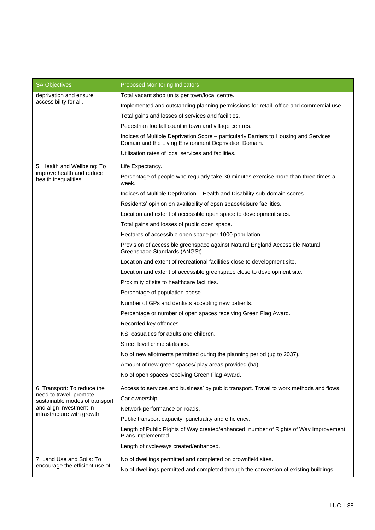| <b>SA Objectives</b>                                                                                                                               | <b>Proposed Monitoring Indicators</b>                                                                                                          |
|----------------------------------------------------------------------------------------------------------------------------------------------------|------------------------------------------------------------------------------------------------------------------------------------------------|
| deprivation and ensure<br>accessibility for all.                                                                                                   | Total vacant shop units per town/local centre.                                                                                                 |
|                                                                                                                                                    | Implemented and outstanding planning permissions for retail, office and commercial use.                                                        |
|                                                                                                                                                    | Total gains and losses of services and facilities.                                                                                             |
|                                                                                                                                                    | Pedestrian footfall count in town and village centres.                                                                                         |
|                                                                                                                                                    | Indices of Multiple Deprivation Score - particularly Barriers to Housing and Services<br>Domain and the Living Environment Deprivation Domain. |
|                                                                                                                                                    | Utilisation rates of local services and facilities.                                                                                            |
| 5. Health and Wellbeing: To<br>improve health and reduce<br>health inequalities.                                                                   | Life Expectancy.                                                                                                                               |
|                                                                                                                                                    | Percentage of people who regularly take 30 minutes exercise more than three times a<br>week.                                                   |
|                                                                                                                                                    | Indices of Multiple Deprivation - Health and Disability sub-domain scores.                                                                     |
|                                                                                                                                                    | Residents' opinion on availability of open space/leisure facilities.                                                                           |
|                                                                                                                                                    | Location and extent of accessible open space to development sites.                                                                             |
|                                                                                                                                                    | Total gains and losses of public open space.                                                                                                   |
|                                                                                                                                                    | Hectares of accessible open space per 1000 population.                                                                                         |
|                                                                                                                                                    | Provision of accessible greenspace against Natural England Accessible Natural<br>Greenspace Standards (ANGSt).                                 |
|                                                                                                                                                    | Location and extent of recreational facilities close to development site.                                                                      |
|                                                                                                                                                    | Location and extent of accessible greenspace close to development site.                                                                        |
|                                                                                                                                                    | Proximity of site to healthcare facilities.                                                                                                    |
|                                                                                                                                                    | Percentage of population obese.                                                                                                                |
|                                                                                                                                                    | Number of GPs and dentists accepting new patients.                                                                                             |
|                                                                                                                                                    | Percentage or number of open spaces receiving Green Flag Award.                                                                                |
|                                                                                                                                                    | Recorded key offences.                                                                                                                         |
|                                                                                                                                                    | KSI casualties for adults and children.                                                                                                        |
|                                                                                                                                                    | Street level crime statistics.                                                                                                                 |
|                                                                                                                                                    | No of new allotments permitted during the planning period (up to 2037).                                                                        |
|                                                                                                                                                    | Amount of new green spaces/ play areas provided (ha).                                                                                          |
|                                                                                                                                                    | No of open spaces receiving Green Flag Award.                                                                                                  |
| 6. Transport: To reduce the<br>need to travel, promote<br>sustainable modes of transport<br>and align investment in<br>infrastructure with growth. | Access to services and business' by public transport. Travel to work methods and flows.                                                        |
|                                                                                                                                                    | Car ownership.                                                                                                                                 |
|                                                                                                                                                    | Network performance on roads.                                                                                                                  |
|                                                                                                                                                    | Public transport capacity, punctuality and efficiency.                                                                                         |
|                                                                                                                                                    | Length of Public Rights of Way created/enhanced; number of Rights of Way Improvement<br>Plans implemented.                                     |
|                                                                                                                                                    | Length of cycleways created/enhanced.                                                                                                          |
| 7. Land Use and Soils: To<br>encourage the efficient use of                                                                                        | No of dwellings permitted and completed on brownfield sites.                                                                                   |
|                                                                                                                                                    | No of dwellings permitted and completed through the conversion of existing buildings.                                                          |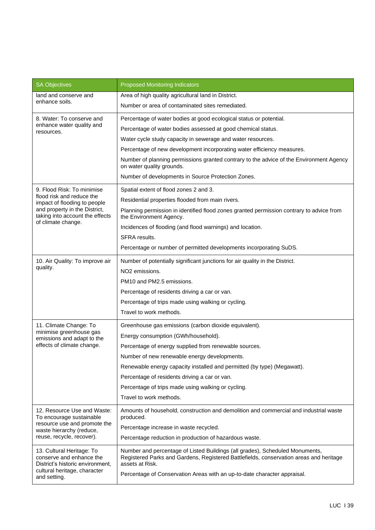| <b>SA Objectives</b>                                                                                                                                        | <b>Proposed Monitoring Indicators</b>                                                                                                                                                                                                                                 |
|-------------------------------------------------------------------------------------------------------------------------------------------------------------|-----------------------------------------------------------------------------------------------------------------------------------------------------------------------------------------------------------------------------------------------------------------------|
| land and conserve and<br>enhance soils.                                                                                                                     | Area of high quality agricultural land in District.                                                                                                                                                                                                                   |
|                                                                                                                                                             | Number or area of contaminated sites remediated.                                                                                                                                                                                                                      |
| 8. Water: To conserve and                                                                                                                                   | Percentage of water bodies at good ecological status or potential.                                                                                                                                                                                                    |
| enhance water quality and<br>resources.                                                                                                                     | Percentage of water bodies assessed at good chemical status.                                                                                                                                                                                                          |
|                                                                                                                                                             | Water cycle study capacity in sewerage and water resources.                                                                                                                                                                                                           |
|                                                                                                                                                             | Percentage of new development incorporating water efficiency measures.                                                                                                                                                                                                |
|                                                                                                                                                             | Number of planning permissions granted contrary to the advice of the Environment Agency<br>on water quality grounds.                                                                                                                                                  |
|                                                                                                                                                             | Number of developments in Source Protection Zones.                                                                                                                                                                                                                    |
| 9. Flood Risk: To minimise<br>flood risk and reduce the<br>impact of flooding to people<br>and property in the District,<br>taking into account the effects | Spatial extent of flood zones 2 and 3.                                                                                                                                                                                                                                |
|                                                                                                                                                             | Residential properties flooded from main rivers.                                                                                                                                                                                                                      |
|                                                                                                                                                             | Planning permission in identified flood zones granted permission contrary to advice from<br>the Environment Agency.                                                                                                                                                   |
| of climate change.                                                                                                                                          | Incidences of flooding (and flood warnings) and location.                                                                                                                                                                                                             |
|                                                                                                                                                             | SFRA results.                                                                                                                                                                                                                                                         |
|                                                                                                                                                             | Percentage or number of permitted developments incorporating SuDS.                                                                                                                                                                                                    |
| 10. Air Quality: To improve air                                                                                                                             | Number of potentially significant junctions for air quality in the District.                                                                                                                                                                                          |
| quality.                                                                                                                                                    | NO <sub>2</sub> emissions.                                                                                                                                                                                                                                            |
|                                                                                                                                                             | PM10 and PM2.5 emissions.                                                                                                                                                                                                                                             |
|                                                                                                                                                             | Percentage of residents driving a car or van.                                                                                                                                                                                                                         |
|                                                                                                                                                             | Percentage of trips made using walking or cycling.                                                                                                                                                                                                                    |
|                                                                                                                                                             | Travel to work methods.                                                                                                                                                                                                                                               |
| 11. Climate Change: To                                                                                                                                      | Greenhouse gas emissions (carbon dioxide equivalent).                                                                                                                                                                                                                 |
| minimise greenhouse gas<br>emissions and adapt to the                                                                                                       | Energy consumption (GWh/household).                                                                                                                                                                                                                                   |
| effects of climate change.                                                                                                                                  | Percentage of energy supplied from renewable sources.                                                                                                                                                                                                                 |
|                                                                                                                                                             | Number of new renewable energy developments.                                                                                                                                                                                                                          |
|                                                                                                                                                             | Renewable energy capacity installed and permitted (by type) (Megawatt).                                                                                                                                                                                               |
|                                                                                                                                                             | Percentage of residents driving a car or van.                                                                                                                                                                                                                         |
|                                                                                                                                                             | Percentage of trips made using walking or cycling.                                                                                                                                                                                                                    |
|                                                                                                                                                             | Travel to work methods.                                                                                                                                                                                                                                               |
| 12. Resource Use and Waste:<br>To encourage sustainable<br>resource use and promote the<br>waste hierarchy (reduce,<br>reuse, recycle, recover).            | Amounts of household, construction and demolition and commercial and industrial waste<br>produced.                                                                                                                                                                    |
|                                                                                                                                                             | Percentage increase in waste recycled.                                                                                                                                                                                                                                |
|                                                                                                                                                             | Percentage reduction in production of hazardous waste.                                                                                                                                                                                                                |
| 13. Cultural Heritage: To<br>conserve and enhance the<br>District's historic environment,<br>cultural heritage, character<br>and setting.                   | Number and percentage of Listed Buildings (all grades), Scheduled Monuments,<br>Registered Parks and Gardens, Registered Battlefields, conservation areas and heritage<br>assets at Risk.<br>Percentage of Conservation Areas with an up-to-date character appraisal. |
|                                                                                                                                                             |                                                                                                                                                                                                                                                                       |